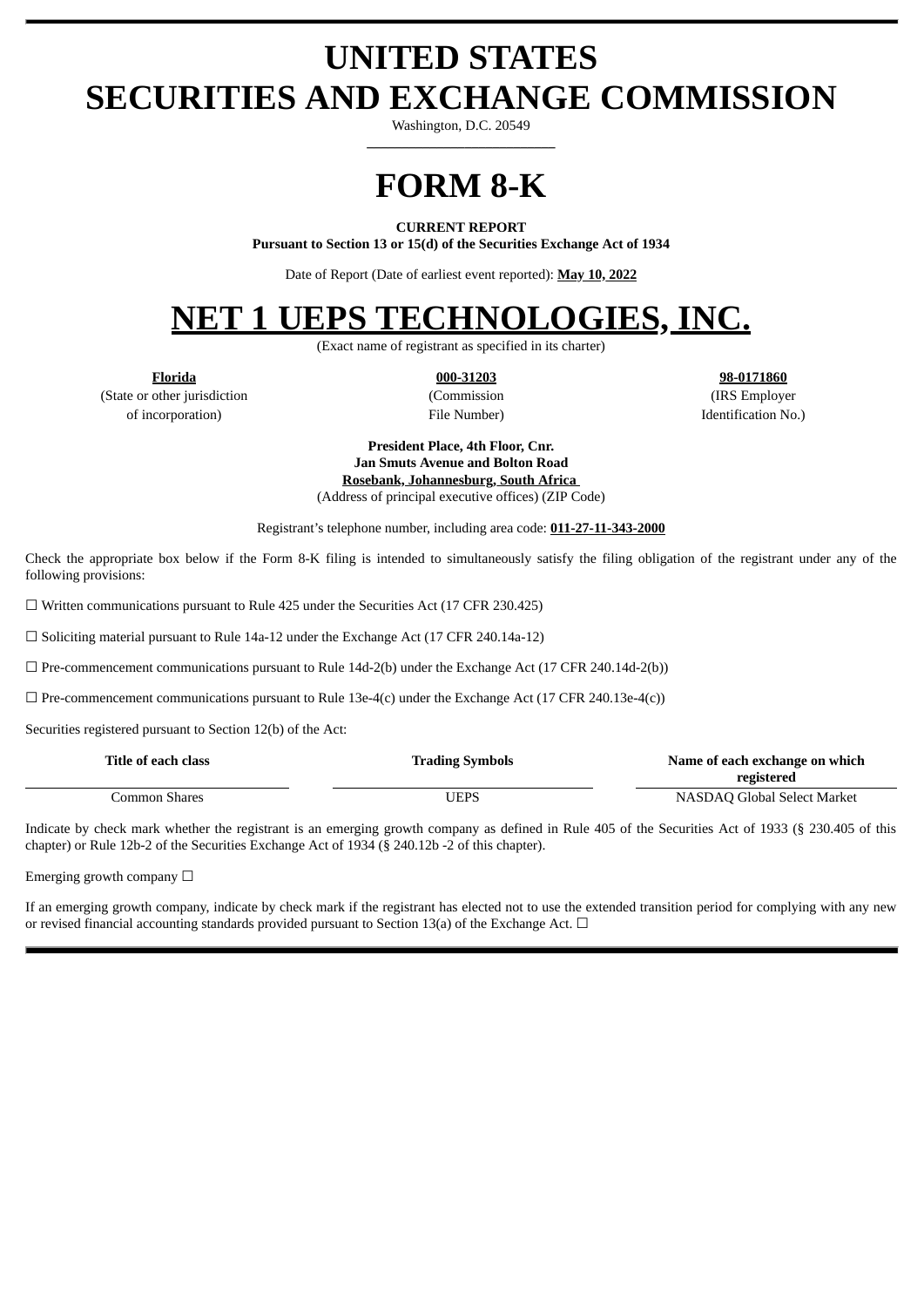# **UNITED STATES SECURITIES AND EXCHANGE COMMISSION**

Washington, D.C. 20549 **\_\_\_\_\_\_\_\_\_\_\_\_\_\_\_\_\_\_\_\_\_\_\_\_\_\_\_**

# **FORM 8-K**

#### **CURRENT REPORT**

**Pursuant to Section 13 or 15(d) of the Securities Exchange Act of 1934**

Date of Report (Date of earliest event reported): **May 10, 2022**

# **NET 1 UEPS TECHNOLOGIES, INC.**

(Exact name of registrant as specified in its charter)

(State or other jurisdiction (Commission (IRS Employer of incorporation) File Number) Identification No.)

**Florida 000-31203 98-0171860**

**President Place, 4th Floor, Cnr. Jan Smuts Avenue and Bolton Road Rosebank, Johannesburg, South Africa** (Address of principal executive offices) (ZIP Code)

Registrant's telephone number, including area code: **011-27-11-343-2000**

Check the appropriate box below if the Form 8-K filing is intended to simultaneously satisfy the filing obligation of the registrant under any of the following provisions:

 $\Box$  Written communications pursuant to Rule 425 under the Securities Act (17 CFR 230.425)

☐ Soliciting material pursuant to Rule 14a-12 under the Exchange Act (17 CFR 240.14a-12)

 $\Box$  Pre-commencement communications pursuant to Rule 14d-2(b) under the Exchange Act (17 CFR 240.14d-2(b))

 $\Box$  Pre-commencement communications pursuant to Rule 13e-4(c) under the Exchange Act (17 CFR 240.13e-4(c))

Securities registered pursuant to Section 12(b) of the Act:

| Title of each class | <b>Trading Symbols</b> | Name of each exchange on which |
|---------------------|------------------------|--------------------------------|
|                     |                        | registered                     |
| Common Shares       | UEPS                   | NASDAQ Global Select Market    |

Indicate by check mark whether the registrant is an emerging growth company as defined in Rule 405 of the Securities Act of 1933 (§ 230.405 of this chapter) or Rule 12b-2 of the Securities Exchange Act of 1934 (§ 240.12b -2 of this chapter).

Emerging growth company  $\Box$ 

If an emerging growth company, indicate by check mark if the registrant has elected not to use the extended transition period for complying with any new or revised financial accounting standards provided pursuant to Section 13(a) of the Exchange Act.  $\Box$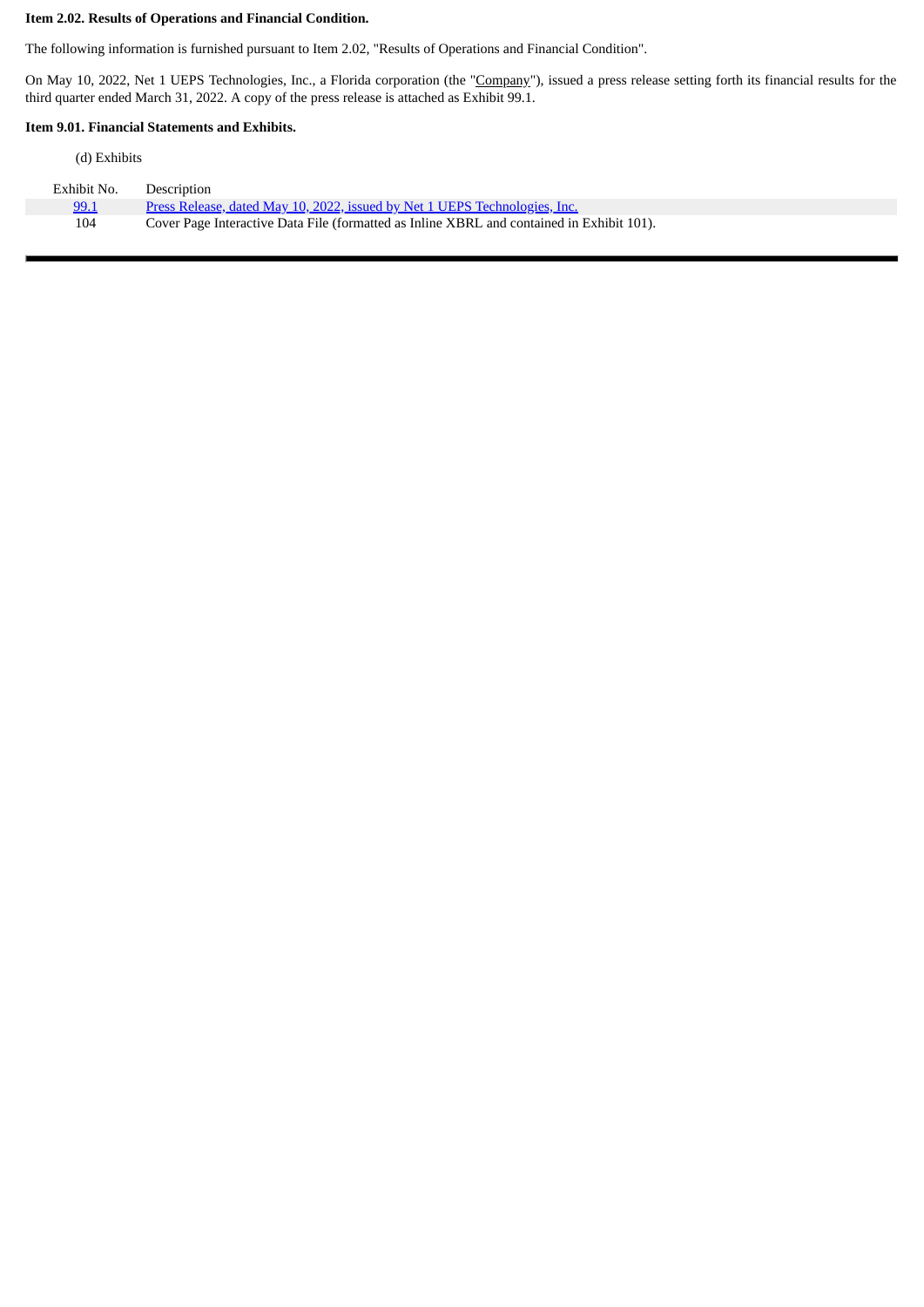### **Item 2.02. Results of Operations and Financial Condition.**

The following information is furnished pursuant to Item 2.02, "Results of Operations and Financial Condition".

On May 10, 2022, Net 1 UEPS Technologies, Inc., a Florida corporation (the "Company"), issued a press release setting forth its financial results for the third quarter ended March 31, 2022. A copy of the press release is attached as Exhibit 99.1.

 $\blacksquare$ 

#### **Item 9.01. Financial Statements and Exhibits.**

| (d) Exhibits |
|--------------|
|              |

| Exhibit No. | Description                                                                               |
|-------------|-------------------------------------------------------------------------------------------|
| 99.1        | Press Release, dated May 10, 2022, issued by Net 1 UEPS Technologies, Inc.                |
| 104         | Cover Page Interactive Data File (formatted as Inline XBRL and contained in Exhibit 101). |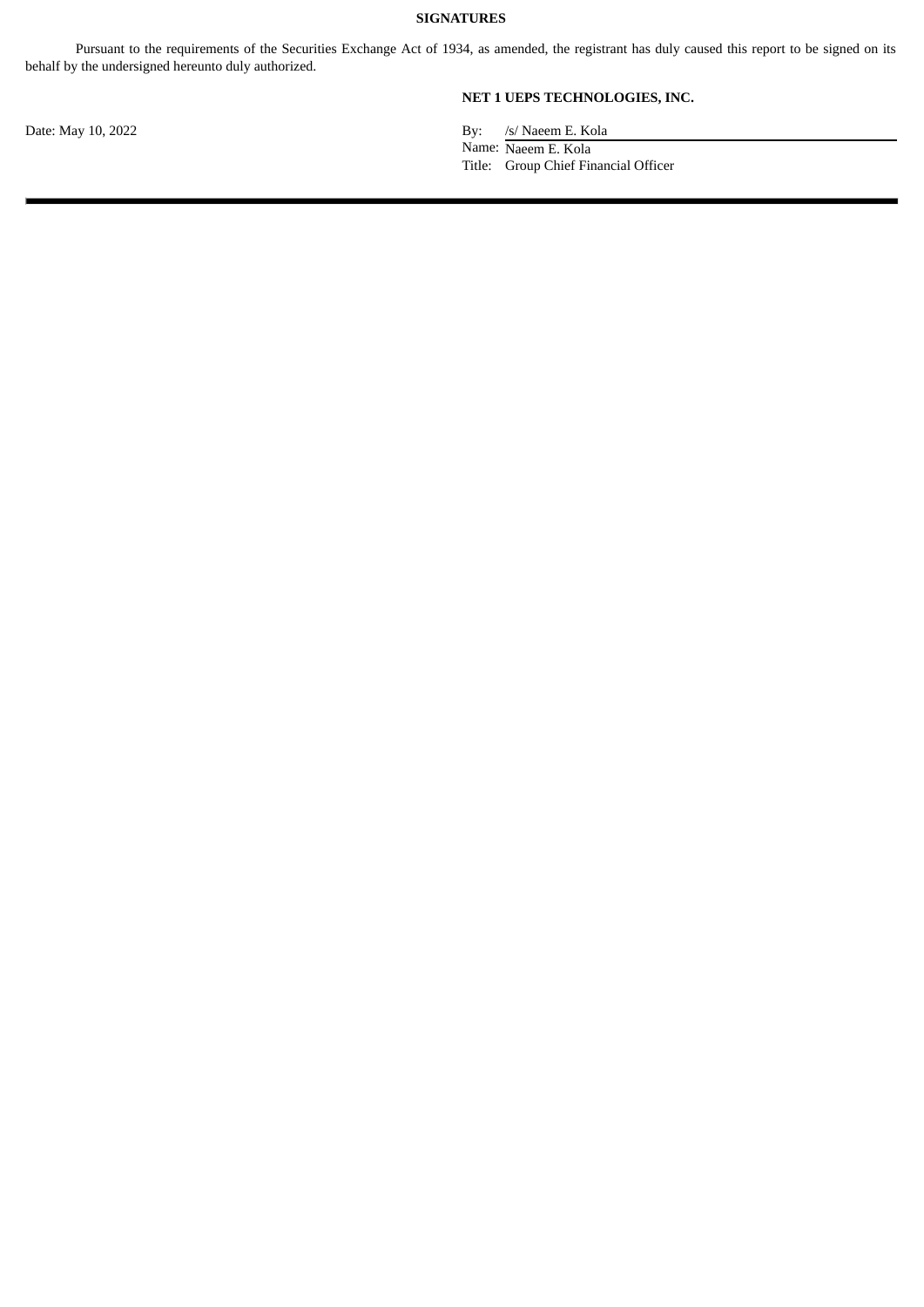#### **SIGNATURES**

Pursuant to the requirements of the Securities Exchange Act of 1934, as amended, the registrant has duly caused this report to be signed on its behalf by the undersigned hereunto duly authorized.

**NET 1 UEPS TECHNOLOGIES, INC.**

Date: May 10, 2022 By: /s/ Naeem E. Kola Name: Naeem E. Kola Title: Group Chief Financial Officer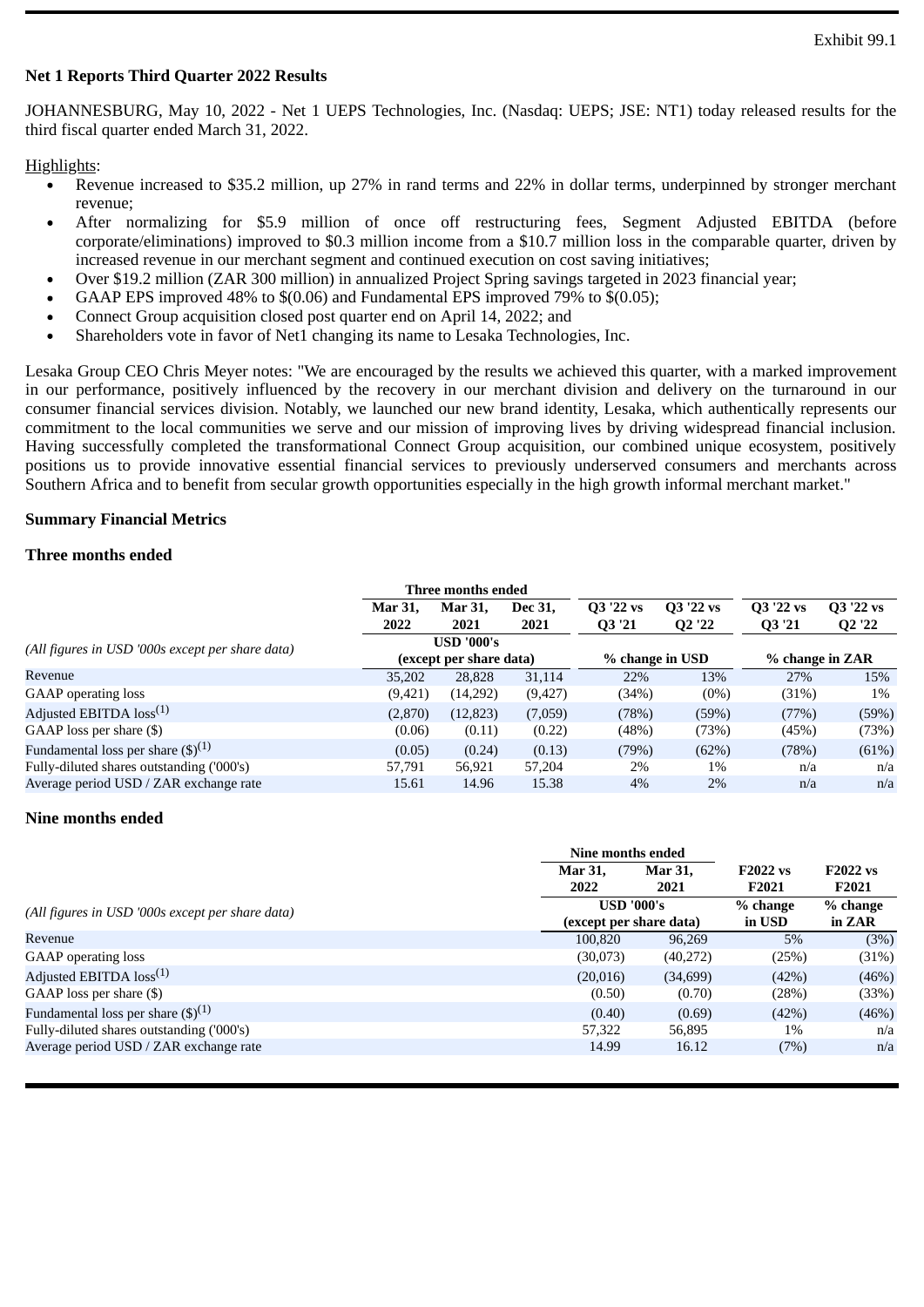# <span id="page-3-0"></span>**Net 1 Reports Third Quarter 2022 Results**

JOHANNESBURG, May 10, 2022 - Net 1 UEPS Technologies, Inc. (Nasdaq: UEPS; JSE: NT1) today released results for the third fiscal quarter ended March 31, 2022.

#### Highlights:

- Revenue increased to \$35.2 million, up 27% in rand terms and 22% in dollar terms, underpinned by stronger merchant  $\bullet$ revenue;
- After normalizing for \$5.9 million of once off restructuring fees, Segment Adjusted EBITDA (before corporate/eliminations) improved to \$0.3 million income from a \$10.7 million loss in the comparable quarter, driven by increased revenue in our merchant segment and continued execution on cost saving initiatives;
- Over \$19.2 million (ZAR 300 million) in annualized Project Spring savings targeted in 2023 financial year;
- GAAP EPS improved 48% to \$(0.06) and Fundamental EPS improved 79% to \$(0.05);
- Connect Group acquisition closed post quarter end on April 14, 2022; and
- Shareholders vote in favor of Net1 changing its name to Lesaka Technologies, Inc.

Lesaka Group CEO Chris Meyer notes: "We are encouraged by the results we achieved this quarter, with a marked improvement in our performance, positively influenced by the recovery in our merchant division and delivery on the turnaround in our consumer financial services division. Notably, we launched our new brand identity, Lesaka, which authentically represents our commitment to the local communities we serve and our mission of improving lives by driving widespread financial inclusion. Having successfully completed the transformational Connect Group acquisition, our combined unique ecosystem, positively positions us to provide innovative essential financial services to previously underserved consumers and merchants across Southern Africa and to benefit from secular growth opportunities especially in the high growth informal merchant market."

## **Summary Financial Metrics**

# **Three months ended**

|                                                  |                           | Three months ended      |         |           |                                |                 |                                |  |
|--------------------------------------------------|---------------------------|-------------------------|---------|-----------|--------------------------------|-----------------|--------------------------------|--|
|                                                  | Mar 31,<br><b>Mar 31,</b> |                         | Dec 31, | Q3 '22 vs | Q3 '22 vs                      | Q3 '22 vs       | Q3 '22 vs                      |  |
|                                                  | 2022                      | 2021                    | 2021    | Q3 '21    | Q <sub>2</sub> '2 <sub>2</sub> | Q3 '21          | Q <sub>2</sub> '2 <sub>2</sub> |  |
| (All figures in USD '000s except per share data) |                           | <b>USD '000's</b>       |         |           |                                |                 |                                |  |
|                                                  |                           | (except per share data) |         |           | % change in USD                | % change in ZAR |                                |  |
| Revenue                                          | 35,202                    | 28,828                  | 31,114  | 22%       | 13%                            | 27%             | 15%                            |  |
| GAAP operating loss                              | (9,421)                   | (14,292)                | (9,427) | (34%)     | (0%)                           | (31%)           | 1%                             |  |
| Adjusted EBITDA $loss^{(1)}$                     | (2,870)                   | (12, 823)               | (7,059) | (78%)     | (59%)                          | (77%)           | (59%)                          |  |
| GAAP loss per share (\$)                         | (0.06)                    | (0.11)                  | (0.22)  | (48%)     | (73%)                          | (45%)           | (73%)                          |  |
| Fundamental loss per share $(\text{\$})^{(1)}$   | (0.05)                    | (0.24)                  | (0.13)  | (79%)     | (62%)                          | (78%)           | (61%)                          |  |
| Fully-diluted shares outstanding ('000's)        | 57,791                    | 56,921                  | 57,204  | 2%        | $1\%$                          | n/a             | n/a                            |  |
| Average period USD / ZAR exchange rate           | 15.61                     | 14.96                   | 15.38   | $4\%$     | $2\%$                          | n/a             | n/a                            |  |

#### **Nine months ended**

|                                                  |                | Nine months ended                                 |        |                 |  |  |  |
|--------------------------------------------------|----------------|---------------------------------------------------|--------|-----------------|--|--|--|
|                                                  | <b>Mar 31.</b> | <b>F2022 vs</b><br><b>Mar 31.</b><br>2022<br>2021 |        | <b>F2022 vs</b> |  |  |  |
|                                                  |                |                                                   | F2021  | F2021           |  |  |  |
| (All figures in USD '000s except per share data) |                | <b>USD '000's</b>                                 |        |                 |  |  |  |
|                                                  |                | (except per share data)                           | in USD | in ZAR          |  |  |  |
| Revenue                                          | 100.820        | 96,269                                            | 5%     | (3%)            |  |  |  |
| <b>GAAP</b> operating loss                       | (30,073)       | (40,272)                                          | (25%)  | (31%)           |  |  |  |
| Adjusted EBITDA $loss^{(1)}$                     | (20,016)       | (34,699)                                          | (42%)  | (46%)           |  |  |  |
| GAAP loss per share $(\$)$                       | (0.50)         | (0.70)                                            | (28%)  | (33%)           |  |  |  |
| Fundamental loss per share $(\text{\$})^{(1)}$   | (0.40)         | (0.69)                                            | (42%)  | (46%)           |  |  |  |
| Fully-diluted shares outstanding ('000's)        | 57,322         | 56,895                                            | 1%     | n/a             |  |  |  |
| Average period USD / ZAR exchange rate           | 14.99          | 16.12                                             | (7%)   | n/a             |  |  |  |
|                                                  |                |                                                   |        |                 |  |  |  |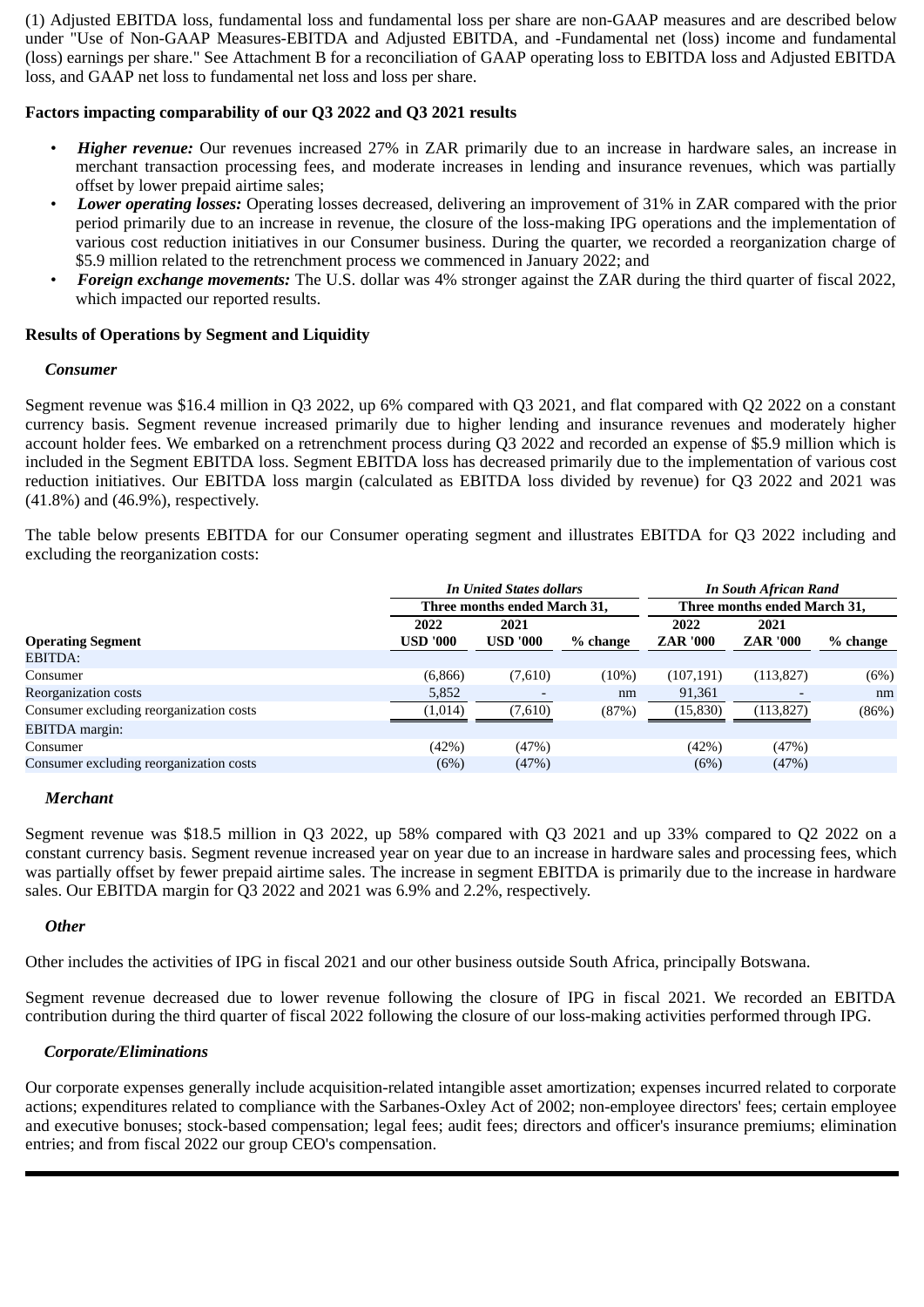(1) Adjusted EBITDA loss, fundamental loss and fundamental loss per share are non-GAAP measures and are described below under "Use of Non-GAAP Measures-EBITDA and Adjusted EBITDA, and -Fundamental net (loss) income and fundamental (loss) earnings per share." See Attachment B for a reconciliation of GAAP operating loss to EBITDA loss and Adjusted EBITDA loss, and GAAP net loss to fundamental net loss and loss per share.

# **Factors impacting comparability of our Q3 2022 and Q3 2021 results**

- *Higher revenue:* Our revenues increased 27% in ZAR primarily due to an increase in hardware sales, an increase in merchant transaction processing fees, and moderate increases in lending and insurance revenues, which was partially offset by lower prepaid airtime sales;
- *Lower operating losses:* Operating losses decreased, delivering an improvement of 31% in ZAR compared with the prior period primarily due to an increase in revenue, the closure of the loss-making IPG operations and the implementation of various cost reduction initiatives in our Consumer business. During the quarter, we recorded a reorganization charge of \$5.9 million related to the retrenchment process we commenced in January 2022; and
- *Foreign exchange movements:* The U.S. dollar was 4% stronger against the ZAR during the third quarter of fiscal 2022, which impacted our reported results.

# **Results of Operations by Segment and Liquidity**

# *Consumer*

Segment revenue was \$16.4 million in Q3 2022, up 6% compared with Q3 2021, and flat compared with Q2 2022 on a constant currency basis. Segment revenue increased primarily due to higher lending and insurance revenues and moderately higher account holder fees. We embarked on a retrenchment process during Q3 2022 and recorded an expense of \$5.9 million which is included in the Segment EBITDA loss. Segment EBITDA loss has decreased primarily due to the implementation of various cost reduction initiatives. Our EBITDA loss margin (calculated as EBITDA loss divided by revenue) for Q3 2022 and 2021 was (41.8%) and (46.9%), respectively.

The table below presents EBITDA for our Consumer operating segment and illustrates EBITDA for Q3 2022 including and excluding the reorganization costs:

|                                         |                 | <b>In United States dollars</b> |          | <b>In South African Rand</b> |                 |          |  |  |  |
|-----------------------------------------|-----------------|---------------------------------|----------|------------------------------|-----------------|----------|--|--|--|
|                                         |                 | Three months ended March 31,    |          | Three months ended March 31, |                 |          |  |  |  |
|                                         | 2022            | 2021                            |          | 2022                         | 2021            |          |  |  |  |
| <b>Operating Segment</b>                | <b>USD '000</b> | <b>USD '000</b>                 | % change | <b>ZAR '000</b>              | <b>ZAR '000</b> | % change |  |  |  |
| EBITDA:                                 |                 |                                 |          |                              |                 |          |  |  |  |
| Consumer                                | (6,866)         | (7,610)                         | (10%)    | (107, 191)                   | (113,827)       | (6%)     |  |  |  |
| <b>Reorganization costs</b>             | 5,852           |                                 | nm       | 91,361                       |                 | nm       |  |  |  |
| Consumer excluding reorganization costs | (1,014)         | (7,610)                         | (87%)    | (15, 830)                    | (113, 827)      | (86%)    |  |  |  |
| EBITDA margin:                          |                 |                                 |          |                              |                 |          |  |  |  |
| Consumer                                | (42%)           | (47%)                           |          | (42%)                        | (47%)           |          |  |  |  |
| Consumer excluding reorganization costs | (6%)            | (47%)                           |          | (6%)                         | (47%)           |          |  |  |  |

#### *Merchant*

Segment revenue was \$18.5 million in Q3 2022, up 58% compared with Q3 2021 and up 33% compared to Q2 2022 on a constant currency basis. Segment revenue increased year on year due to an increase in hardware sales and processing fees, which was partially offset by fewer prepaid airtime sales. The increase in segment EBITDA is primarily due to the increase in hardware sales. Our EBITDA margin for Q3 2022 and 2021 was 6.9% and 2.2%, respectively.

# *Other*

Other includes the activities of IPG in fiscal 2021 and our other business outside South Africa, principally Botswana.

Segment revenue decreased due to lower revenue following the closure of IPG in fiscal 2021. We recorded an EBITDA contribution during the third quarter of fiscal 2022 following the closure of our loss-making activities performed through IPG.

# *Corporate/Eliminations*

Our corporate expenses generally include acquisition-related intangible asset amortization; expenses incurred related to corporate actions; expenditures related to compliance with the Sarbanes-Oxley Act of 2002; non-employee directors' fees; certain employee and executive bonuses; stock-based compensation; legal fees; audit fees; directors and officer's insurance premiums; elimination entries; and from fiscal 2022 our group CEO's compensation.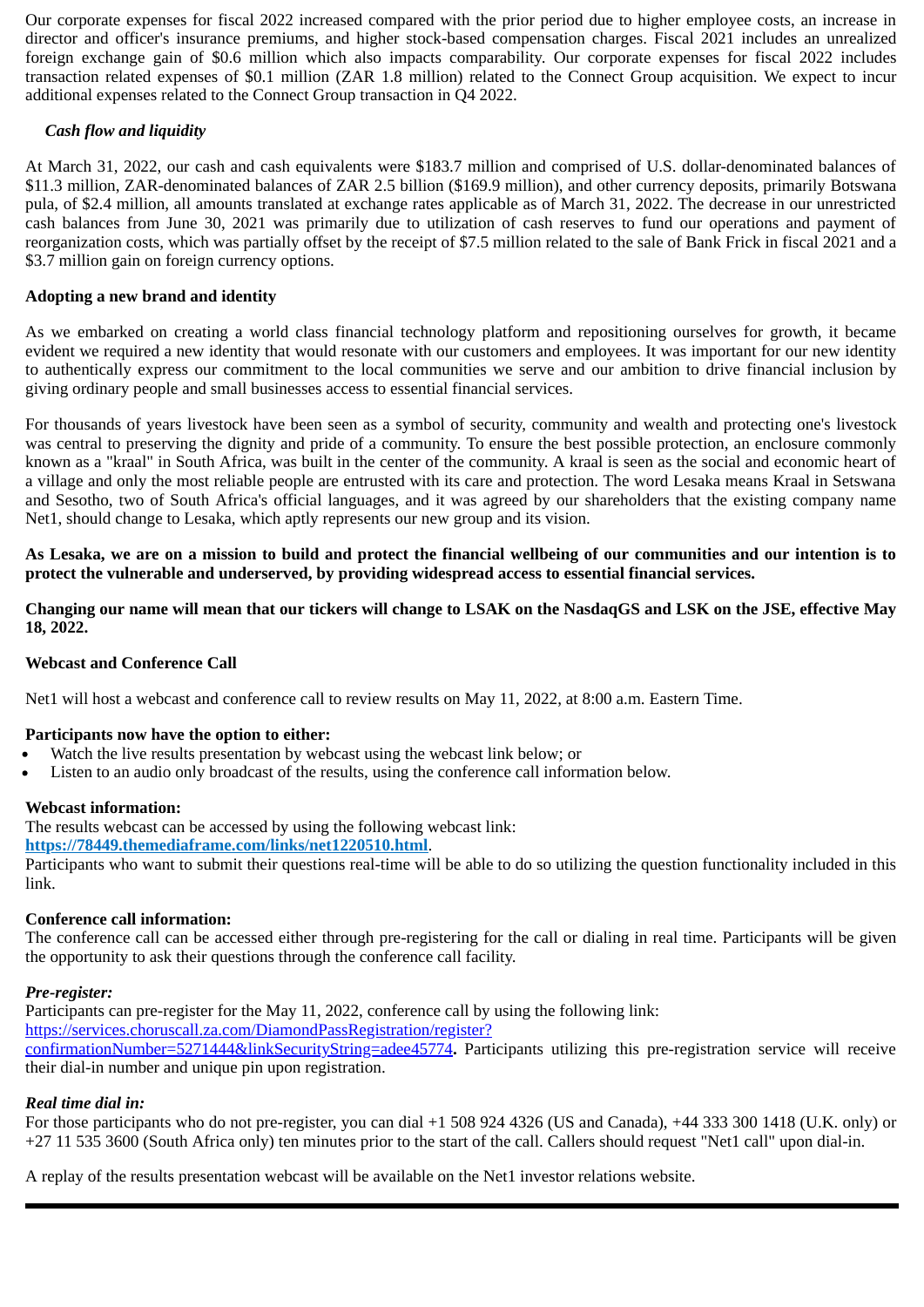Our corporate expenses for fiscal 2022 increased compared with the prior period due to higher employee costs, an increase in director and officer's insurance premiums, and higher stock-based compensation charges. Fiscal 2021 includes an unrealized foreign exchange gain of \$0.6 million which also impacts comparability. Our corporate expenses for fiscal 2022 includes transaction related expenses of \$0.1 million (ZAR 1.8 million) related to the Connect Group acquisition. We expect to incur additional expenses related to the Connect Group transaction in Q4 2022.

# *Cash flow and liquidity*

At March 31, 2022, our cash and cash equivalents were \$183.7 million and comprised of U.S. dollar-denominated balances of \$11.3 million, ZAR-denominated balances of ZAR 2.5 billion (\$169.9 million), and other currency deposits, primarily Botswana pula, of \$2.4 million, all amounts translated at exchange rates applicable as of March 31, 2022. The decrease in our unrestricted cash balances from June 30, 2021 was primarily due to utilization of cash reserves to fund our operations and payment of reorganization costs, which was partially offset by the receipt of \$7.5 million related to the sale of Bank Frick in fiscal 2021 and a \$3.7 million gain on foreign currency options.

# **Adopting a new brand and identity**

As we embarked on creating a world class financial technology platform and repositioning ourselves for growth, it became evident we required a new identity that would resonate with our customers and employees. It was important for our new identity to authentically express our commitment to the local communities we serve and our ambition to drive financial inclusion by giving ordinary people and small businesses access to essential financial services.

For thousands of years livestock have been seen as a symbol of security, community and wealth and protecting one's livestock was central to preserving the dignity and pride of a community. To ensure the best possible protection, an enclosure commonly known as a "kraal" in South Africa, was built in the center of the community. A kraal is seen as the social and economic heart of a village and only the most reliable people are entrusted with its care and protection. The word Lesaka means Kraal in Setswana and Sesotho, two of South Africa's official languages, and it was agreed by our shareholders that the existing company name Net1, should change to Lesaka, which aptly represents our new group and its vision.

**As Lesaka, we are on a mission to build and protect the financial wellbeing of our communities and our intention is to protect the vulnerable and underserved, by providing widespread access to essential financial services.**

**Changing our name will mean that our tickers will change to LSAK on the NasdaqGS and LSK on the JSE, effective May 18, 2022.**

# **Webcast and Conference Call**

Net1 will host a webcast and conference call to review results on May 11, 2022, at 8:00 a.m. Eastern Time.

# **Participants now have the option to either:**

- Watch the live results presentation by webcast using the webcast link below; or
- Listen to an audio only broadcast of the results, using the conference call information below.

# **Webcast information:**

The results webcast can be accessed by using the following webcast link:

# **https://78449.themediaframe.com/links/net1220510.html**.

Participants who want to submit their questions real-time will be able to do so utilizing the question functionality included in this link.

# **Conference call information:**

The conference call can be accessed either through pre-registering for the call or dialing in real time. Participants will be given the opportunity to ask their questions through the conference call facility.

# *Pre-register:*

Participants can pre-register for the May 11, 2022, conference call by using the following link: https://services.choruscall.za.com/DiamondPassRegistration/register? confirmationNumber=5271444&linkSecurityString=adee45774**.** Participants utilizing this pre-registration service will receive their dial-in number and unique pin upon registration.

# *Real time dial in:*

For those participants who do not pre-register, you can dial +1 508 924 4326 (US and Canada), +44 333 300 1418 (U.K. only) or +27 11 535 3600 (South Africa only) ten minutes prior to the start of the call. Callers should request "Net1 call" upon dial-in.

A replay of the results presentation webcast will be available on the Net1 investor relations website.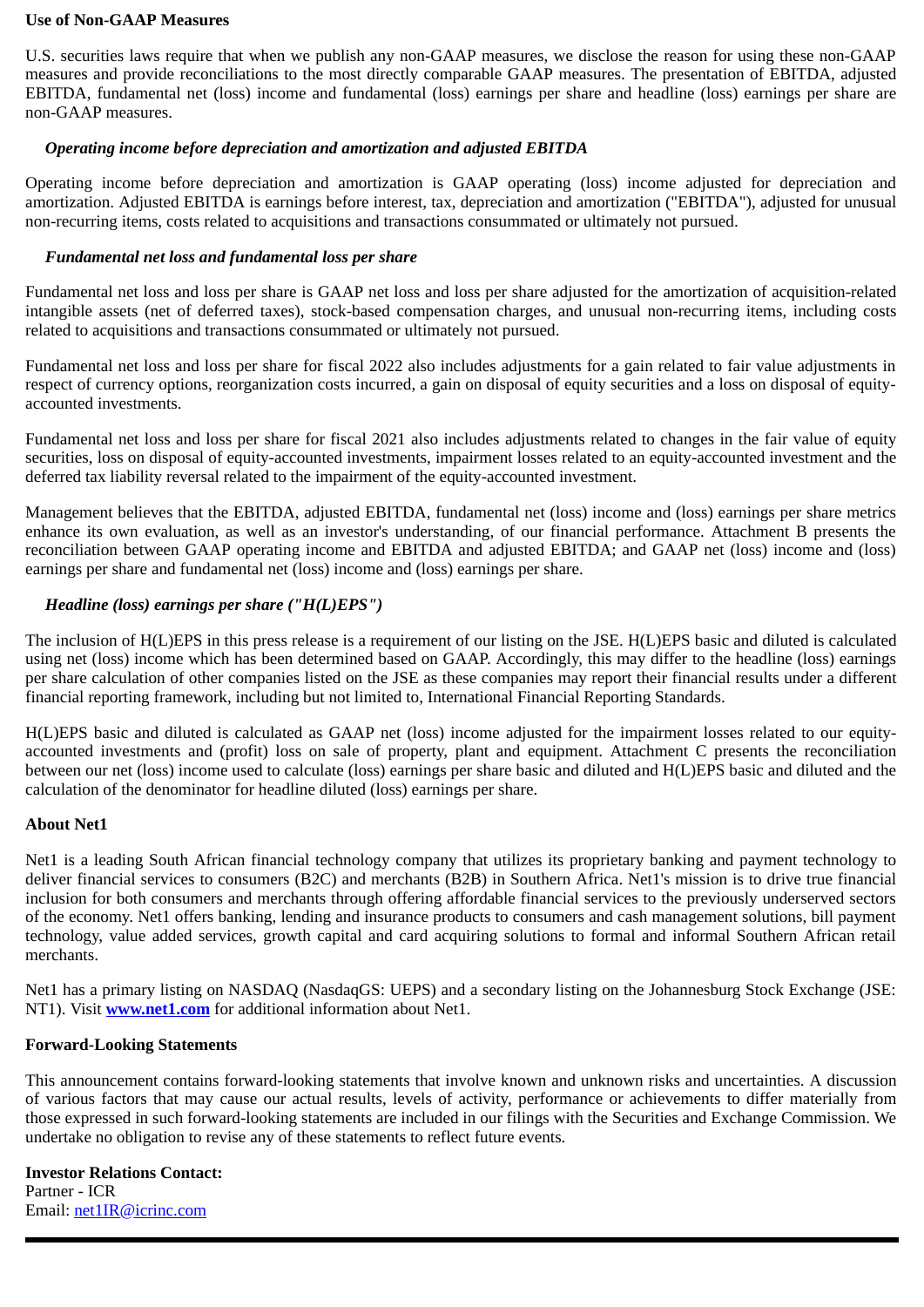#### **Use of Non-GAAP Measures**

U.S. securities laws require that when we publish any non-GAAP measures, we disclose the reason for using these non-GAAP measures and provide reconciliations to the most directly comparable GAAP measures. The presentation of EBITDA, adjusted EBITDA, fundamental net (loss) income and fundamental (loss) earnings per share and headline (loss) earnings per share are non-GAAP measures.

# *Operating income before depreciation and amortization and adjusted EBITDA*

Operating income before depreciation and amortization is GAAP operating (loss) income adjusted for depreciation and amortization. Adjusted EBITDA is earnings before interest, tax, depreciation and amortization ("EBITDA"), adjusted for unusual non-recurring items, costs related to acquisitions and transactions consummated or ultimately not pursued.

# *Fundamental net loss and fundamental loss per share*

Fundamental net loss and loss per share is GAAP net loss and loss per share adjusted for the amortization of acquisition-related intangible assets (net of deferred taxes), stock-based compensation charges, and unusual non-recurring items, including costs related to acquisitions and transactions consummated or ultimately not pursued.

Fundamental net loss and loss per share for fiscal 2022 also includes adjustments for a gain related to fair value adjustments in respect of currency options, reorganization costs incurred, a gain on disposal of equity securities and a loss on disposal of equityaccounted investments.

Fundamental net loss and loss per share for fiscal 2021 also includes adjustments related to changes in the fair value of equity securities, loss on disposal of equity-accounted investments, impairment losses related to an equity-accounted investment and the deferred tax liability reversal related to the impairment of the equity-accounted investment.

Management believes that the EBITDA, adjusted EBITDA, fundamental net (loss) income and (loss) earnings per share metrics enhance its own evaluation, as well as an investor's understanding, of our financial performance. Attachment B presents the reconciliation between GAAP operating income and EBITDA and adjusted EBITDA; and GAAP net (loss) income and (loss) earnings per share and fundamental net (loss) income and (loss) earnings per share.

# *Headline (loss) earnings per share ("H(L)EPS")*

The inclusion of H(L)EPS in this press release is a requirement of our listing on the JSE. H(L)EPS basic and diluted is calculated using net (loss) income which has been determined based on GAAP. Accordingly, this may differ to the headline (loss) earnings per share calculation of other companies listed on the JSE as these companies may report their financial results under a different financial reporting framework, including but not limited to, International Financial Reporting Standards.

H(L)EPS basic and diluted is calculated as GAAP net (loss) income adjusted for the impairment losses related to our equityaccounted investments and (profit) loss on sale of property, plant and equipment. Attachment C presents the reconciliation between our net (loss) income used to calculate (loss) earnings per share basic and diluted and H(L)EPS basic and diluted and the calculation of the denominator for headline diluted (loss) earnings per share.

## **About Net1**

Net1 is a leading South African financial technology company that utilizes its proprietary banking and payment technology to deliver financial services to consumers (B2C) and merchants (B2B) in Southern Africa. Net1's mission is to drive true financial inclusion for both consumers and merchants through offering affordable financial services to the previously underserved sectors of the economy. Net1 offers banking, lending and insurance products to consumers and cash management solutions, bill payment technology, value added services, growth capital and card acquiring solutions to formal and informal Southern African retail merchants.

Net1 has a primary listing on NASDAQ (NasdaqGS: UEPS) and a secondary listing on the Johannesburg Stock Exchange (JSE: NT1). Visit **www.net1.com** for additional information about Net1.

# **Forward-Looking Statements**

This announcement contains forward-looking statements that involve known and unknown risks and uncertainties. A discussion of various factors that may cause our actual results, levels of activity, performance or achievements to differ materially from those expressed in such forward-looking statements are included in our filings with the Securities and Exchange Commission. We undertake no obligation to revise any of these statements to reflect future events.

**Investor Relations Contact:** Partner - ICR Email: net1IR@icrinc.com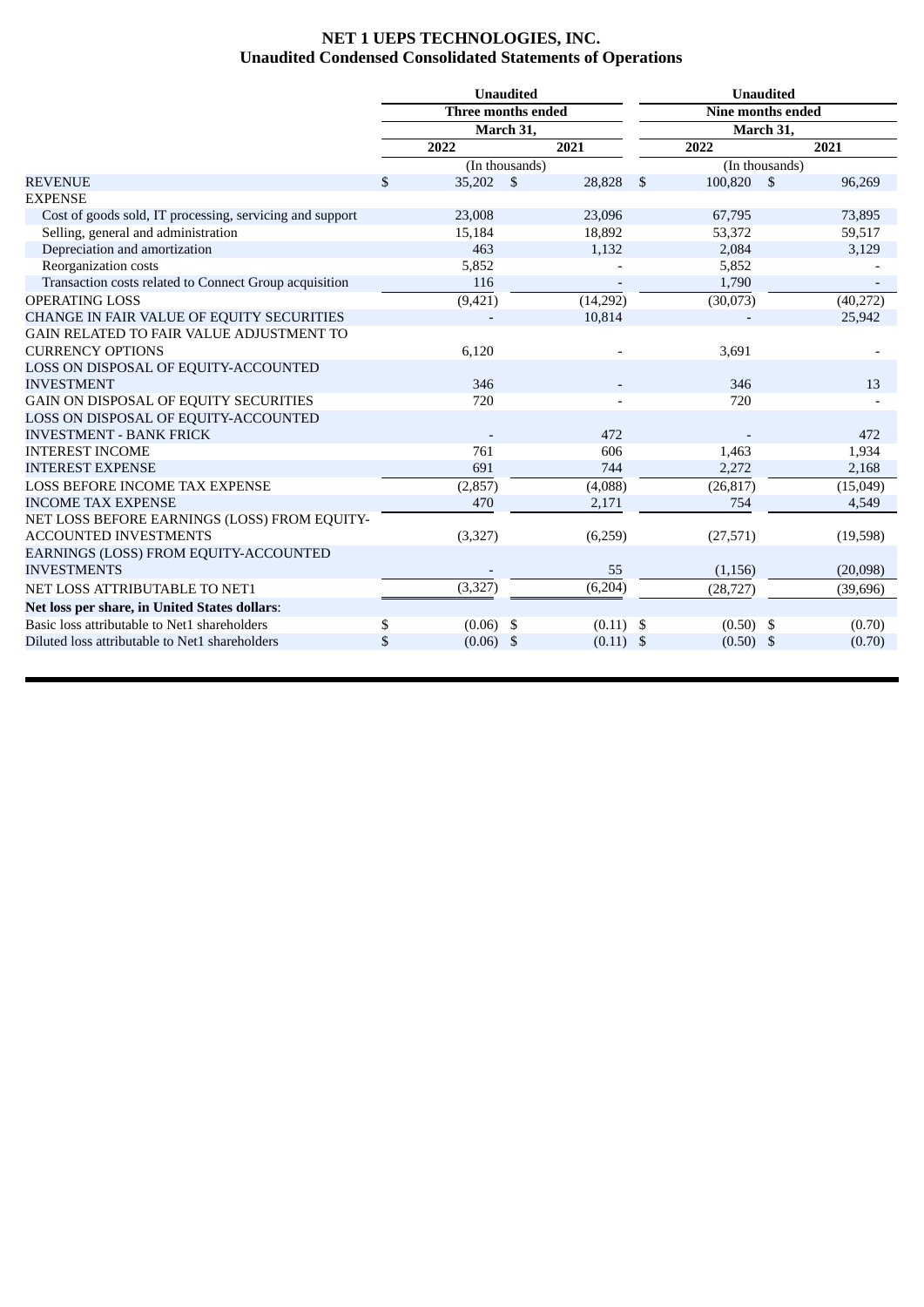# **NET 1 UEPS TECHNOLOGIES, INC. Unaudited Condensed Consolidated Statements of Operations**

|                                                          |                   | <b>Unaudited</b>   |             | <b>Unaudited</b>         |                |           |           |  |  |
|----------------------------------------------------------|-------------------|--------------------|-------------|--------------------------|----------------|-----------|-----------|--|--|
|                                                          |                   | Three months ended |             | <b>Nine months ended</b> |                |           |           |  |  |
|                                                          |                   | March 31,          |             |                          |                | March 31, |           |  |  |
|                                                          | 2022              | 2021               |             | 2022                     |                |           | 2021      |  |  |
|                                                          |                   | (In thousands)     |             |                          | (In thousands) |           |           |  |  |
| <b>REVENUE</b>                                           | \$<br>35,202      | <b>S</b>           | 28,828      | \$                       | 100.820        | - \$      | 96,269    |  |  |
| <b>EXPENSE</b>                                           |                   |                    |             |                          |                |           |           |  |  |
| Cost of goods sold, IT processing, servicing and support | 23,008            |                    | 23,096      |                          | 67,795         |           | 73,895    |  |  |
| Selling, general and administration                      | 15,184            |                    | 18,892      |                          | 53,372         |           | 59,517    |  |  |
| Depreciation and amortization                            | 463               |                    | 1,132       |                          | 2,084          |           | 3,129     |  |  |
| Reorganization costs                                     | 5,852             |                    |             |                          | 5,852          |           |           |  |  |
| Transaction costs related to Connect Group acquisition   | 116               |                    |             |                          | 1,790          |           |           |  |  |
| <b>OPERATING LOSS</b>                                    | (9, 421)          |                    | (14,292)    |                          | (30,073)       |           | (40, 272) |  |  |
| CHANGE IN FAIR VALUE OF EQUITY SECURITIES                |                   |                    | 10,814      |                          |                |           | 25,942    |  |  |
| GAIN RELATED TO FAIR VALUE ADJUSTMENT TO                 |                   |                    |             |                          |                |           |           |  |  |
| <b>CURRENCY OPTIONS</b>                                  | 6,120             |                    |             |                          | 3,691          |           |           |  |  |
| LOSS ON DISPOSAL OF EQUITY-ACCOUNTED                     |                   |                    |             |                          |                |           |           |  |  |
| <b>INVESTMENT</b>                                        | 346               |                    |             |                          | 346            |           | 13        |  |  |
| GAIN ON DISPOSAL OF EQUITY SECURITIES                    | 720               |                    |             |                          | 720            |           |           |  |  |
| LOSS ON DISPOSAL OF EQUITY-ACCOUNTED                     |                   |                    |             |                          |                |           |           |  |  |
| <b>INVESTMENT - BANK FRICK</b>                           |                   |                    | 472         |                          |                |           | 472       |  |  |
| <b>INTEREST INCOME</b>                                   | 761               |                    | 606         |                          | 1,463          |           | 1,934     |  |  |
| <b>INTEREST EXPENSE</b>                                  | 691               |                    | 744         |                          | 2,272          |           | 2,168     |  |  |
| <b>LOSS BEFORE INCOME TAX EXPENSE</b>                    | (2, 857)          |                    | (4,088)     |                          | (26, 817)      |           | (15,049)  |  |  |
| <b>INCOME TAX EXPENSE</b>                                | 470               |                    | 2,171       |                          | 754            |           | 4,549     |  |  |
| NET LOSS BEFORE EARNINGS (LOSS) FROM EQUITY-             |                   |                    |             |                          |                |           |           |  |  |
| <b>ACCOUNTED INVESTMENTS</b>                             | (3,327)           |                    | (6,259)     |                          | (27, 571)      |           | (19,598)  |  |  |
| EARNINGS (LOSS) FROM EQUITY-ACCOUNTED                    |                   |                    |             |                          |                |           |           |  |  |
| <b>INVESTMENTS</b>                                       |                   |                    | 55          |                          | (1, 156)       |           | (20,098)  |  |  |
| NET LOSS ATTRIBUTABLE TO NET1                            | (3, 327)          |                    | (6, 204)    |                          | (28, 727)      |           | (39, 696) |  |  |
| Net loss per share, in United States dollars:            |                   |                    |             |                          |                |           |           |  |  |
| Basic loss attributable to Net1 shareholders             | \$<br>$(0.06)$ \$ |                    | $(0.11)$ \$ |                          | $(0.50)$ \$    |           | (0.70)    |  |  |
| Diluted loss attributable to Net1 shareholders           | \$<br>$(0.06)$ \$ |                    | $(0.11)$ \$ |                          | $(0.50)$ \$    |           | (0.70)    |  |  |
|                                                          |                   |                    |             |                          |                |           |           |  |  |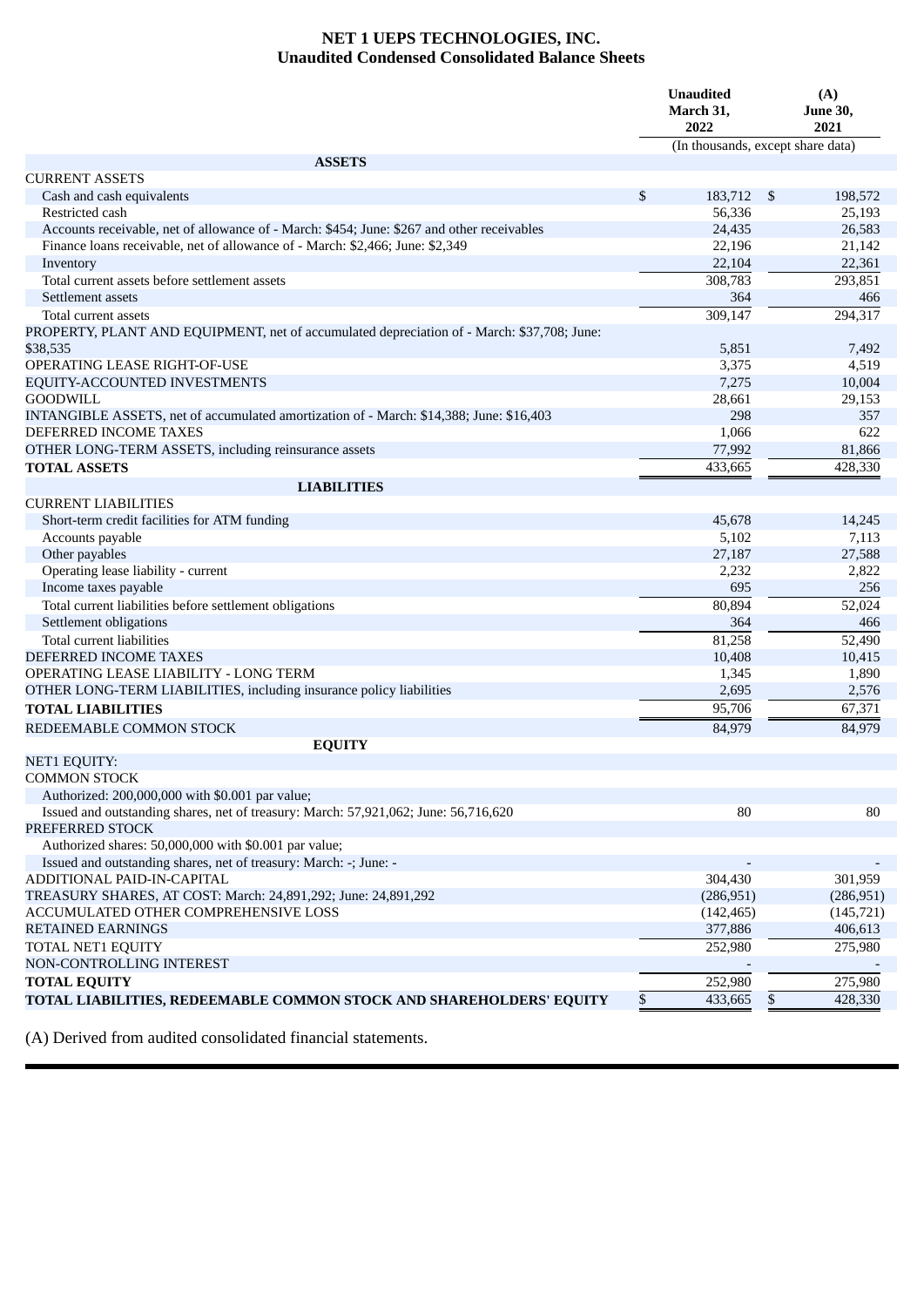# **NET 1 UEPS TECHNOLOGIES, INC. Unaudited Condensed Consolidated Balance Sheets**

|                                                                                            | <b>Unaudited</b><br>March 31,<br>2022 | (A)<br><b>June 30,</b><br>2021 |
|--------------------------------------------------------------------------------------------|---------------------------------------|--------------------------------|
|                                                                                            | (In thousands, except share data)     |                                |
| <b>ASSETS</b>                                                                              |                                       |                                |
| <b>CURRENT ASSETS</b>                                                                      |                                       |                                |
| Cash and cash equivalents<br>Restricted cash                                               | \$<br>183,712 \$<br>56,336            | 198,572<br>25,193              |
| Accounts receivable, net of allowance of - March: \$454; June: \$267 and other receivables | 24,435                                | 26,583                         |
| Finance loans receivable, net of allowance of - March: \$2,466; June: \$2,349              | 22,196                                | 21,142                         |
| Inventory                                                                                  | 22,104                                | 22,361                         |
| Total current assets before settlement assets                                              | 308,783                               | 293,851                        |
| Settlement assets                                                                          | 364                                   | 466                            |
| Total current assets                                                                       | 309,147                               | 294,317                        |
| PROPERTY, PLANT AND EQUIPMENT, net of accumulated depreciation of - March: \$37,708; June: |                                       |                                |
| \$38,535                                                                                   | 5,851                                 | 7,492                          |
| OPERATING LEASE RIGHT-OF-USE                                                               | 3,375                                 | 4,519                          |
| EQUITY-ACCOUNTED INVESTMENTS                                                               | 7,275                                 | 10,004                         |
| <b>GOODWILL</b>                                                                            | 28,661                                | 29,153                         |
| INTANGIBLE ASSETS, net of accumulated amortization of - March: \$14,388; June: \$16,403    | 298                                   | 357                            |
| DEFERRED INCOME TAXES                                                                      | 1,066                                 | 622                            |
| OTHER LONG-TERM ASSETS, including reinsurance assets                                       | 77,992                                | 81,866                         |
| <b>TOTAL ASSETS</b>                                                                        | 433,665                               | 428,330                        |
| <b>LIABILITIES</b>                                                                         |                                       |                                |
| <b>CURRENT LIABILITIES</b>                                                                 |                                       |                                |
| Short-term credit facilities for ATM funding                                               | 45,678                                | 14,245                         |
| Accounts payable                                                                           | 5,102                                 | 7,113                          |
| Other payables                                                                             | 27,187                                | 27,588                         |
| Operating lease liability - current                                                        | 2,232                                 | 2,822                          |
| Income taxes payable                                                                       | 695                                   | 256                            |
| Total current liabilities before settlement obligations                                    | 80,894                                | 52,024                         |
| Settlement obligations                                                                     | 364                                   | 466                            |
| Total current liabilities                                                                  | 81,258                                | 52,490                         |
| DEFERRED INCOME TAXES                                                                      | 10,408                                | 10,415                         |
| OPERATING LEASE LIABILITY - LONG TERM                                                      | 1,345                                 | 1,890                          |
| OTHER LONG-TERM LIABILITIES, including insurance policy liabilities                        | 2,695                                 | 2,576                          |
| <b>TOTAL LIABILITIES</b>                                                                   | 95,706                                | 67,371                         |
| REDEEMABLE COMMON STOCK                                                                    | 84,979                                | 84,979                         |
| <b>EQUITY</b>                                                                              |                                       |                                |
| <b>NET1 EQUITY:</b>                                                                        |                                       |                                |
| <b>COMMON STOCK</b>                                                                        |                                       |                                |
| Authorized: 200,000,000 with \$0.001 par value;                                            |                                       |                                |
| Issued and outstanding shares, net of treasury: March: 57,921,062; June: 56,716,620        | 80                                    | 80                             |
| PREFERRED STOCK                                                                            |                                       |                                |
| Authorized shares: 50,000,000 with \$0.001 par value;                                      |                                       |                                |
| Issued and outstanding shares, net of treasury: March: -; June: -                          |                                       |                                |
| ADDITIONAL PAID-IN-CAPITAL                                                                 | 304,430                               | 301,959                        |
| TREASURY SHARES, AT COST: March: 24,891,292; June: 24,891,292                              | (286, 951)                            | (286, 951)                     |
| ACCUMULATED OTHER COMPREHENSIVE LOSS                                                       | (142, 465)                            | (145, 721)                     |
| <b>RETAINED EARNINGS</b>                                                                   | 377,886                               | 406,613                        |
| TOTAL NET1 EQUITY                                                                          | 252,980                               | 275,980                        |
| NON-CONTROLLING INTEREST                                                                   |                                       |                                |
| <b>TOTAL EQUITY</b>                                                                        | 252,980                               | 275,980                        |
| TOTAL LIABILITIES, REDEEMABLE COMMON STOCK AND SHAREHOLDERS' EQUITY                        | \$<br>433,665                         | \$<br>428,330                  |

(A) Derived from audited consolidated financial statements.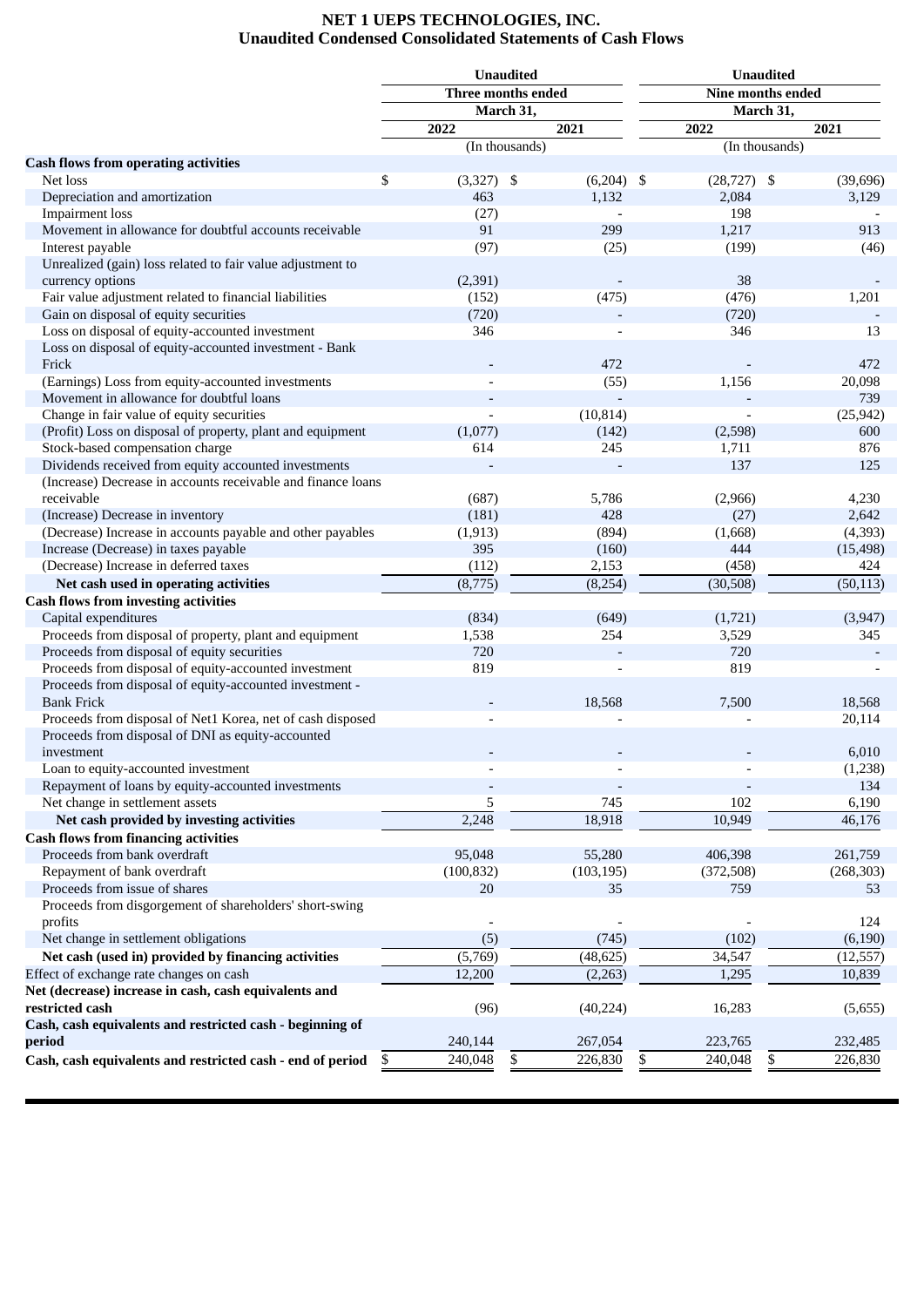## **NET 1 UEPS TECHNOLOGIES, INC. Unaudited Condensed Consolidated Statements of Cash Flows**

|                                                              |                    | <b>Unaudited</b> |                          | <b>Unaudited</b> |                          |      |            |  |  |
|--------------------------------------------------------------|--------------------|------------------|--------------------------|------------------|--------------------------|------|------------|--|--|
|                                                              | Three months ended |                  |                          |                  | <b>Nine months ended</b> |      |            |  |  |
|                                                              |                    | March 31,        |                          |                  | March 31,                |      |            |  |  |
|                                                              | 2022               |                  | 2021                     | 2022             |                          | 2021 |            |  |  |
|                                                              |                    | (In thousands)   |                          |                  | (In thousands)           |      |            |  |  |
| <b>Cash flows from operating activities</b>                  |                    |                  |                          |                  |                          |      |            |  |  |
| Net loss                                                     | \$<br>$(3,327)$ \$ |                  | $(6,204)$ \$             |                  | $(28,727)$ \$            |      | (39, 696)  |  |  |
| Depreciation and amortization                                | 463                |                  | 1,132                    |                  | 2,084                    |      | 3,129      |  |  |
| <b>Impairment</b> loss                                       |                    |                  |                          |                  | 198                      |      |            |  |  |
| Movement in allowance for doubtful accounts receivable       | (27)<br>91         |                  | 299                      |                  | 1,217                    |      | 913        |  |  |
|                                                              |                    |                  |                          |                  |                          |      |            |  |  |
| Interest payable                                             | (97)               |                  | (25)                     |                  | (199)                    |      | (46)       |  |  |
| Unrealized (gain) loss related to fair value adjustment to   |                    |                  |                          |                  |                          |      |            |  |  |
| currency options                                             | (2, 391)           |                  |                          |                  | 38                       |      |            |  |  |
| Fair value adjustment related to financial liabilities       | (152)              |                  | (475)                    |                  | (476)                    |      | 1,201      |  |  |
| Gain on disposal of equity securities                        | (720)              |                  |                          |                  | (720)                    |      |            |  |  |
| Loss on disposal of equity-accounted investment              | 346                |                  |                          |                  | 346                      |      | 13         |  |  |
| Loss on disposal of equity-accounted investment - Bank       |                    |                  |                          |                  |                          |      |            |  |  |
| Frick                                                        |                    |                  | 472                      |                  |                          |      | 472        |  |  |
| (Earnings) Loss from equity-accounted investments            |                    |                  | (55)                     |                  | 1,156                    |      | 20,098     |  |  |
| Movement in allowance for doubtful loans                     |                    |                  |                          |                  |                          |      | 739        |  |  |
| Change in fair value of equity securities                    |                    |                  | (10, 814)                |                  |                          |      | (25, 942)  |  |  |
| (Profit) Loss on disposal of property, plant and equipment   | (1,077)            |                  | (142)                    |                  | (2,598)                  |      | 600        |  |  |
| Stock-based compensation charge                              | 614                |                  | 245                      |                  | 1,711                    |      | 876        |  |  |
| Dividends received from equity accounted investments         |                    |                  |                          |                  | 137                      |      | 125        |  |  |
| (Increase) Decrease in accounts receivable and finance loans |                    |                  |                          |                  |                          |      |            |  |  |
| receivable                                                   | (687)              |                  | 5,786                    |                  | (2,966)                  |      | 4,230      |  |  |
| (Increase) Decrease in inventory                             | (181)              |                  | 428                      |                  | (27)                     |      | 2,642      |  |  |
| (Decrease) Increase in accounts payable and other payables   | (1, 913)           |                  | (894)                    |                  | (1,668)                  |      | (4, 393)   |  |  |
| Increase (Decrease) in taxes payable                         | 395                |                  | (160)                    |                  | 444                      |      | (15, 498)  |  |  |
| (Decrease) Increase in deferred taxes                        | (112)              |                  | 2,153                    |                  | (458)                    |      | 424        |  |  |
| Net cash used in operating activities                        | (8,775)            |                  | (8,254)                  |                  | (30,508)                 |      | (50, 113)  |  |  |
|                                                              |                    |                  |                          |                  |                          |      |            |  |  |
| <b>Cash flows from investing activities</b>                  |                    |                  |                          |                  |                          |      |            |  |  |
| Capital expenditures                                         | (834)              |                  | (649)                    |                  | (1,721)                  |      | (3,947)    |  |  |
| Proceeds from disposal of property, plant and equipment      | 1,538              |                  | 254                      |                  | 3,529                    |      | 345        |  |  |
| Proceeds from disposal of equity securities                  | 720                |                  |                          |                  | 720                      |      |            |  |  |
| Proceeds from disposal of equity-accounted investment        | 819                |                  |                          |                  | 819                      |      |            |  |  |
| Proceeds from disposal of equity-accounted investment -      |                    |                  |                          |                  |                          |      |            |  |  |
| <b>Bank Frick</b>                                            |                    |                  | 18,568                   |                  | 7,500                    |      | 18,568     |  |  |
| Proceeds from disposal of Net1 Korea, net of cash disposed   |                    |                  |                          |                  |                          |      | 20,114     |  |  |
| Proceeds from disposal of DNI as equity-accounted            |                    |                  |                          |                  |                          |      |            |  |  |
| investment                                                   |                    |                  |                          |                  |                          |      | 6,010      |  |  |
| Loan to equity-accounted investment                          |                    |                  | $\overline{\phantom{a}}$ |                  |                          |      | (1,238)    |  |  |
| Repayment of loans by equity-accounted investments           |                    |                  |                          |                  |                          |      | 134        |  |  |
| Net change in settlement assets                              | 5                  |                  | 745                      |                  | 102                      |      | 6,190      |  |  |
| Net cash provided by investing activities                    | 2,248              |                  | 18,918                   |                  | 10,949                   |      | 46,176     |  |  |
| <b>Cash flows from financing activities</b>                  |                    |                  |                          |                  |                          |      |            |  |  |
| Proceeds from bank overdraft                                 | 95,048             |                  | 55,280                   |                  | 406,398                  |      | 261,759    |  |  |
| Repayment of bank overdraft                                  | (100, 832)         |                  | (103, 195)               |                  | (372,508)                |      | (268, 303) |  |  |
| Proceeds from issue of shares                                | 20                 |                  | 35                       |                  | 759                      |      | 53         |  |  |
| Proceeds from disgorgement of shareholders' short-swing      |                    |                  |                          |                  |                          |      |            |  |  |
| profits                                                      |                    |                  |                          |                  |                          |      | 124        |  |  |
| Net change in settlement obligations                         |                    |                  |                          |                  | (102)                    |      | (6, 190)   |  |  |
|                                                              | (5)                |                  | (745)                    |                  |                          |      |            |  |  |
| Net cash (used in) provided by financing activities          | (5,769)            |                  | (48, 625)                |                  | 34,547                   |      | (12, 557)  |  |  |
| Effect of exchange rate changes on cash                      | 12,200             |                  | (2,263)                  |                  | 1,295                    |      | 10,839     |  |  |
| Net (decrease) increase in cash, cash equivalents and        |                    |                  |                          |                  |                          |      |            |  |  |
| restricted cash                                              | (96)               |                  | (40, 224)                |                  | 16,283                   |      | (5,655)    |  |  |
| Cash, cash equivalents and restricted cash - beginning of    |                    |                  |                          |                  |                          |      |            |  |  |
| period                                                       | 240,144            |                  | 267,054                  |                  | 223,765                  |      | 232,485    |  |  |
| Cash, cash equivalents and restricted cash - end of period   | \$<br>240,048      | \$               | 226,830                  | \$               | 240,048<br>\$            |      | 226,830    |  |  |
|                                                              |                    |                  |                          |                  |                          |      |            |  |  |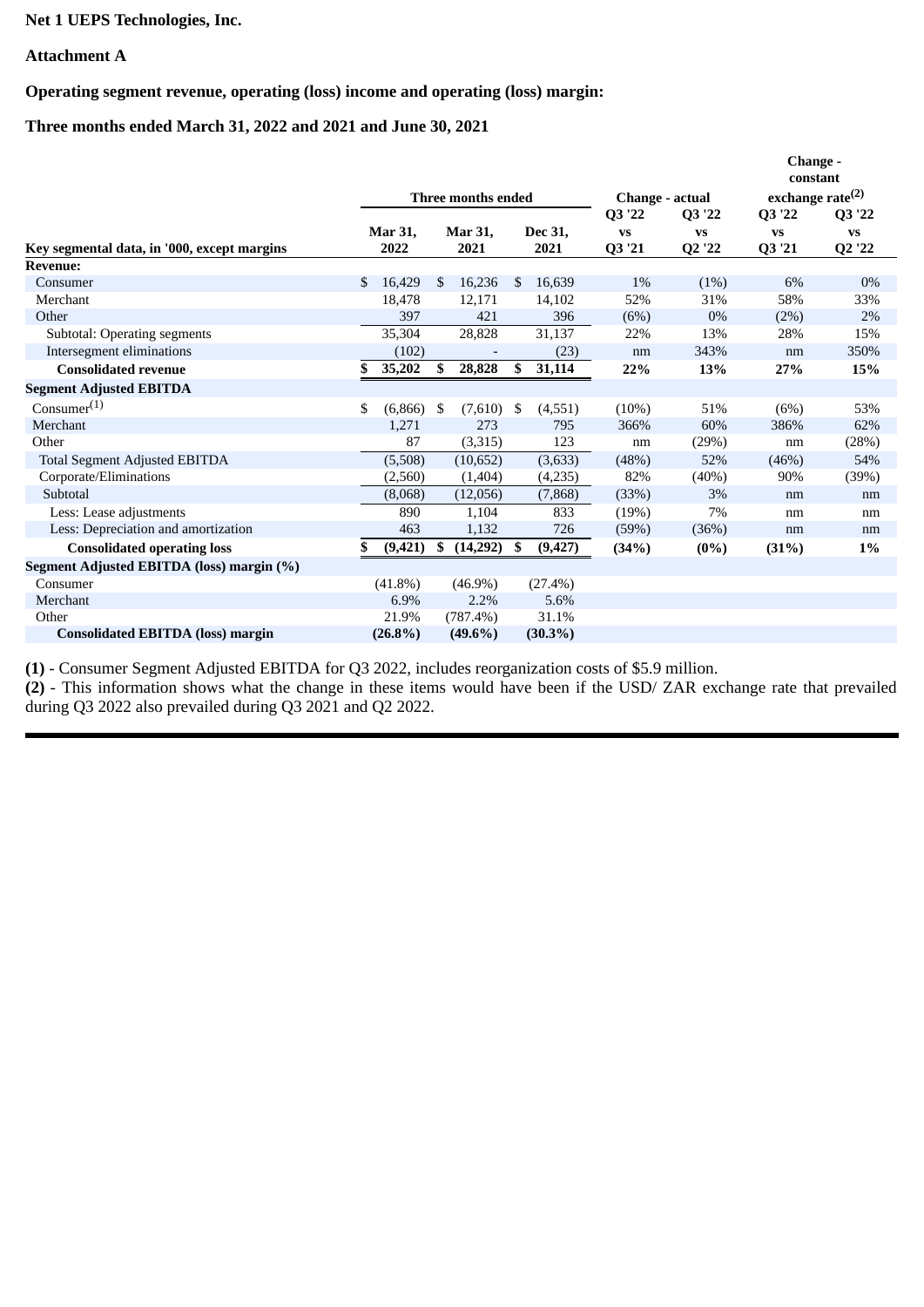# **Net 1 UEPS Technologies, Inc.**

# **Attachment A**

**Operating segment revenue, operating (loss) income and operating (loss) margin:**

**Three months ended March 31, 2022 and 2021 and June 30, 2021**

|                                             |    |            |      |                    |     |            |                 |           | Change -<br>constant |           |  |
|---------------------------------------------|----|------------|------|--------------------|-----|------------|-----------------|-----------|----------------------|-----------|--|
|                                             |    |            |      | Three months ended |     |            | Change - actual |           | exchange rate $(2)$  |           |  |
|                                             |    |            |      |                    |     |            | Q3 '22          | Q3 '22    | Q3 '22               | Q3 '22    |  |
|                                             |    | Mar 31,    |      | <b>Mar 31,</b>     |     | Dec 31,    | <b>VS</b>       | <b>VS</b> | <b>VS</b>            | <b>VS</b> |  |
| Key segmental data, in '000, except margins |    | 2022       |      | 2021               |     | 2021       | Q3 '21          | Q2 '22    | Q3 '21               | Q2 '22    |  |
| <b>Revenue:</b>                             |    |            |      |                    |     |            |                 |           |                      |           |  |
| Consumer                                    | \$ | 16,429     | -\$  | 16,236             | \$. | 16,639     | 1%              | (1%)      | 6%                   | $0\%$     |  |
| Merchant                                    |    | 18,478     |      | 12,171             |     | 14,102     | 52%             | 31%       | 58%                  | 33%       |  |
| Other                                       |    | 397        |      | 421                |     | 396        | (6%)            | $0\%$     | (2%)                 | 2%        |  |
| <b>Subtotal: Operating segments</b>         |    | 35,304     |      | 28,828             |     | 31,137     | 22%             | 13%       | 28%                  | 15%       |  |
| Intersegment eliminations                   |    | (102)      |      |                    |     | (23)       | nm              | 343%      | nm                   | 350%      |  |
| <b>Consolidated revenue</b>                 | \$ | 35,202     | -S   | 28,828             | \$  | 31,114     | 22%             | 13%       | 27%                  | 15%       |  |
| <b>Segment Adjusted EBITDA</b>              |    |            |      |                    |     |            |                 |           |                      |           |  |
| Consumer <sup>(1)</sup>                     | \$ | (6,866)    | - \$ | (7,610)            | \$  | (4,551)    | (10%)           | 51%       | (6%)                 | 53%       |  |
| Merchant                                    |    | 1,271      |      | 273                |     | 795        | 366%            | 60%       | 386%                 | 62%       |  |
| Other                                       |    | 87         |      | (3,315)            |     | 123        | nm              | (29%)     | nm                   | (28%)     |  |
| <b>Total Segment Adjusted EBITDA</b>        |    | (5,508)    |      | (10,652)           |     | (3,633)    | (48%)           | 52%       | (46%)                | 54%       |  |
| Corporate/Eliminations                      |    | (2,560)    |      | (1,404)            |     | (4,235)    | 82%             | (40%)     | 90%                  | (39%)     |  |
| Subtotal                                    |    | (8,068)    |      | (12,056)           |     | (7,868)    | (33%)           | 3%        | nm                   | nm        |  |
| Less: Lease adjustments                     |    | 890        |      | 1,104              |     | 833        | (19%)           | 7%        | nm                   | nm        |  |
| Less: Depreciation and amortization         |    | 463        |      | 1,132              |     | 726        | (59%)           | (36%)     | nm                   | nm        |  |
| <b>Consolidated operating loss</b>          | S. | (9, 421)   | \$   | (14,292)           | \$  | (9, 427)   | (34%)           | $(0\%)$   | (31%)                | $1\%$     |  |
| Segment Adjusted EBITDA (loss) margin (%)   |    |            |      |                    |     |            |                 |           |                      |           |  |
| Consumer                                    |    | $(41.8\%)$ |      | $(46.9\%)$         |     | $(27.4\%)$ |                 |           |                      |           |  |
| Merchant                                    |    | 6.9%       |      | 2.2%               |     | 5.6%       |                 |           |                      |           |  |
| Other                                       |    | 21.9%      |      | (787.4%)           |     | 31.1%      |                 |           |                      |           |  |
| <b>Consolidated EBITDA (loss) margin</b>    |    | $(26.8\%)$ |      | $(49.6\%)$         |     | $(30.3\%)$ |                 |           |                      |           |  |

**(1)** - Consumer Segment Adjusted EBITDA for Q3 2022, includes reorganization costs of \$5.9 million.

**(2)** - This information shows what the change in these items would have been if the USD/ ZAR exchange rate that prevailed during Q3 2022 also prevailed during Q3 2021 and Q2 2022.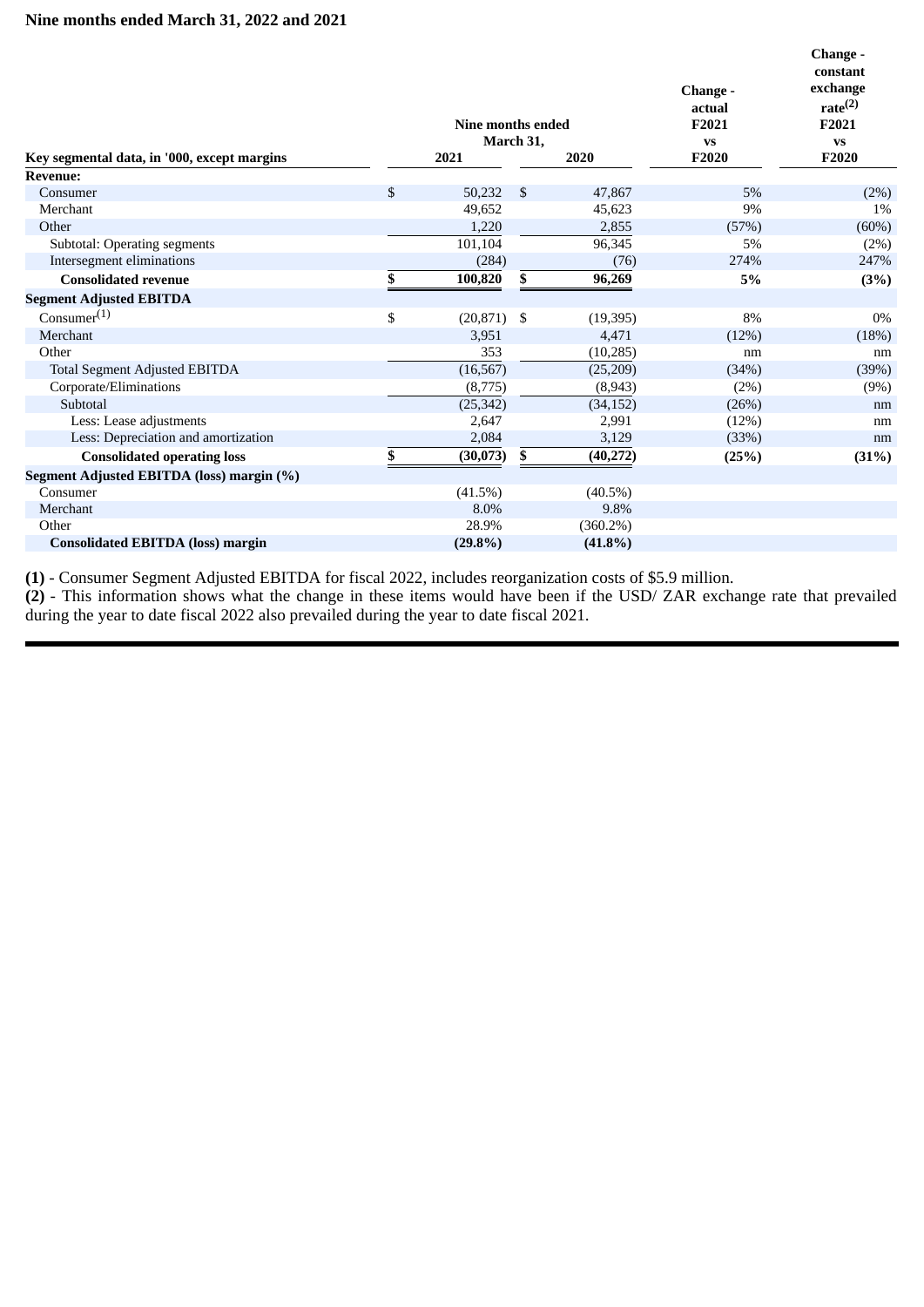|                                             | Nine months ended   |    |             | Change -<br>actual<br>F <sub>2021</sub> | Change -<br>constant<br>exchange<br>rate <sup>(2)</sup><br>F2021 |  |
|---------------------------------------------|---------------------|----|-------------|-----------------------------------------|------------------------------------------------------------------|--|
| Key segmental data, in '000, except margins | March 31,<br>2021   |    | 2020        | <b>VS</b><br>F2020                      | <b>VS</b><br>F2020                                               |  |
| <b>Revenue:</b>                             |                     |    |             |                                         |                                                                  |  |
| Consumer                                    | \$<br>50,232        | \$ | 47,867      | 5%                                      | (2%)                                                             |  |
| Merchant                                    | 49,652              |    | 45,623      | 9%                                      | 1%                                                               |  |
| Other                                       | 1,220               |    | 2,855       | (57%)                                   | (60%)                                                            |  |
| <b>Subtotal: Operating segments</b>         | 101,104             |    | 96,345      | 5%                                      | (2%)                                                             |  |
| Intersegment eliminations                   | (284)               |    | (76)        | 274%                                    | 247%                                                             |  |
| <b>Consolidated revenue</b>                 | \$<br>100,820       | \$ | 96,269      | 5%                                      | (3%)                                                             |  |
| <b>Segment Adjusted EBITDA</b>              |                     |    |             |                                         |                                                                  |  |
| Consumer <sup>(1)</sup>                     | \$<br>$(20,871)$ \$ |    | (19, 395)   | 8%                                      | 0%                                                               |  |
| Merchant                                    | 3,951               |    | 4,471       | (12%)                                   | (18%)                                                            |  |
| Other                                       | 353                 |    | (10, 285)   | nm                                      | nm                                                               |  |
| <b>Total Segment Adjusted EBITDA</b>        | (16, 567)           |    | (25, 209)   | (34%)                                   | (39%)                                                            |  |
| Corporate/Eliminations                      | (8,775)             |    | (8,943)     | (2%)                                    | (9%)                                                             |  |
| Subtotal                                    | (25, 342)           |    | (34, 152)   | (26%)                                   | nm                                                               |  |
| Less: Lease adjustments                     | 2,647               |    | 2,991       | (12%)                                   | nm                                                               |  |
| Less: Depreciation and amortization         | 2,084               |    | 3,129       | (33%)                                   | nm                                                               |  |
| <b>Consolidated operating loss</b>          | \$<br>(30,073)      | \$ | (40, 272)   | (25%)                                   | (31%)                                                            |  |
| Segment Adjusted EBITDA (loss) margin (%)   |                     |    |             |                                         |                                                                  |  |
| Consumer                                    | (41.5%)             |    | $(40.5\%)$  |                                         |                                                                  |  |
| Merchant                                    | 8.0%                |    | 9.8%        |                                         |                                                                  |  |
| Other                                       | 28.9%               |    | $(360.2\%)$ |                                         |                                                                  |  |
| <b>Consolidated EBITDA (loss) margin</b>    | $(29.8\%)$          |    | $(41.8\%)$  |                                         |                                                                  |  |

**(1)** - Consumer Segment Adjusted EBITDA for fiscal 2022, includes reorganization costs of \$5.9 million.

**(2)** - This information shows what the change in these items would have been if the USD/ ZAR exchange rate that prevailed during the year to date fiscal 2022 also prevailed during the year to date fiscal 2021.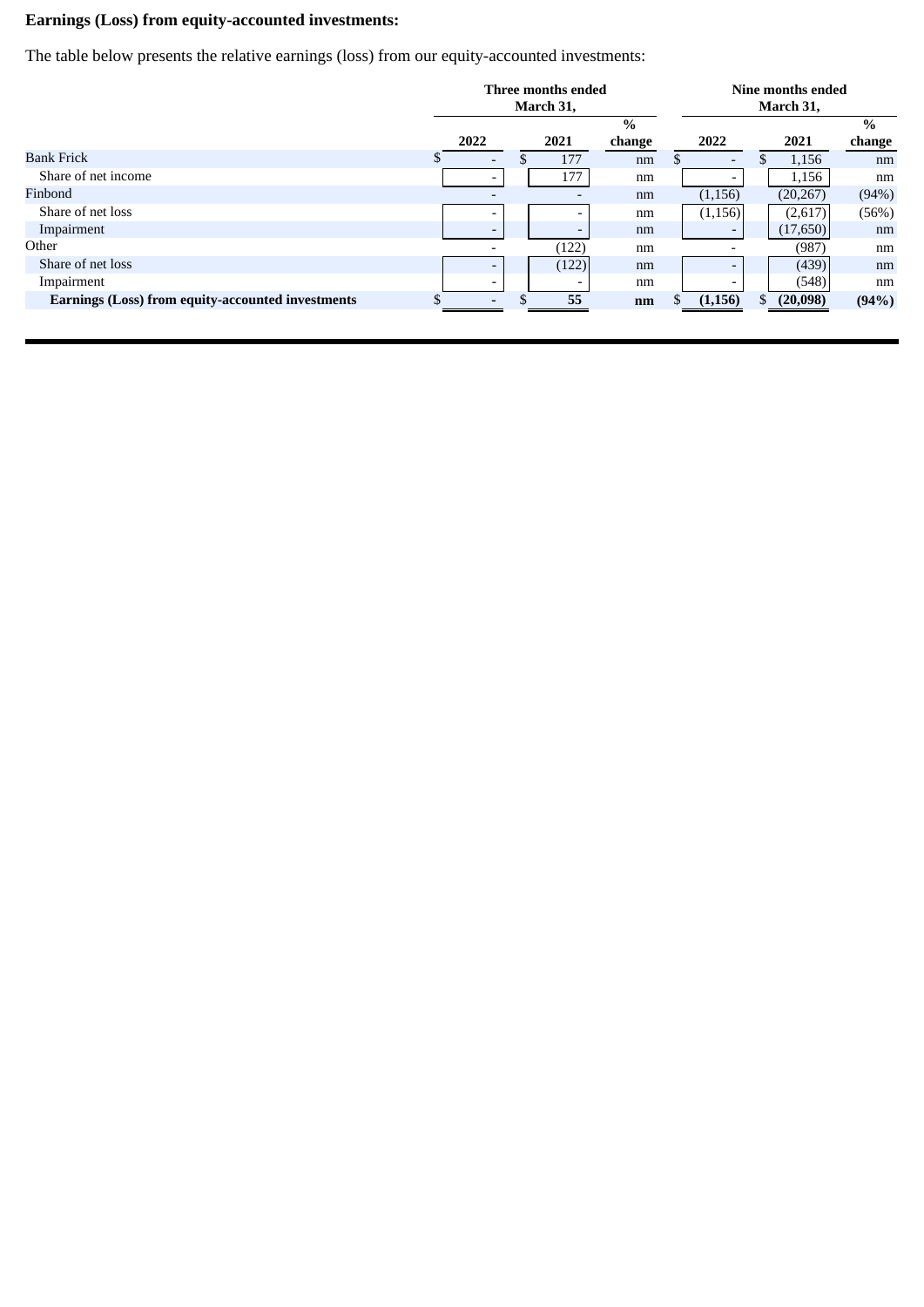# **Earnings (Loss) from equity-accounted investments:**

The table below presents the relative earnings (loss) from our equity-accounted investments:

|                                                   |                          | Three months ended<br>March 31, |                          | Nine months ended<br>March 31, |  |                          |    |           |        |
|---------------------------------------------------|--------------------------|---------------------------------|--------------------------|--------------------------------|--|--------------------------|----|-----------|--------|
|                                                   |                          |                                 |                          | $\frac{0}{0}$                  |  |                          |    |           | $\%$   |
|                                                   | 2022                     |                                 | 2021                     | change                         |  | 2022                     |    | 2021      | change |
| <b>Bank Frick</b>                                 | $\overline{\phantom{a}}$ | D                               | 177                      | nm                             |  | $\overline{\phantom{a}}$ |    | 1,156     | nm     |
| Share of net income                               | $\overline{\phantom{0}}$ |                                 | 177                      | nm                             |  |                          |    | 1,156     | nm     |
| Finbond                                           |                          |                                 | $\overline{\phantom{0}}$ | nm                             |  | (1, 156)                 |    | (20, 267) | (94%)  |
| Share of net loss                                 | $\overline{\phantom{0}}$ |                                 |                          | nm                             |  | (1,156)                  |    | (2,617)   | (56%)  |
| Impairment                                        | $\overline{\phantom{0}}$ |                                 | $\overline{\phantom{0}}$ | nm                             |  |                          |    | (17,650)  | nm     |
| Other                                             |                          |                                 | (122)                    | nm                             |  |                          |    | (987)     | nm     |
| Share of net loss                                 | $\overline{\phantom{0}}$ |                                 | (122)                    | nm                             |  |                          |    | (439)     | nm     |
| Impairment                                        | $\overline{\phantom{0}}$ |                                 |                          | nm                             |  |                          |    | (548)     | nm     |
| Earnings (Loss) from equity-accounted investments |                          | .Ъ                              | 55                       | nm                             |  | (1, 156)                 | \$ | (20,098)  | (94%)  |
|                                                   |                          |                                 |                          |                                |  |                          |    |           |        |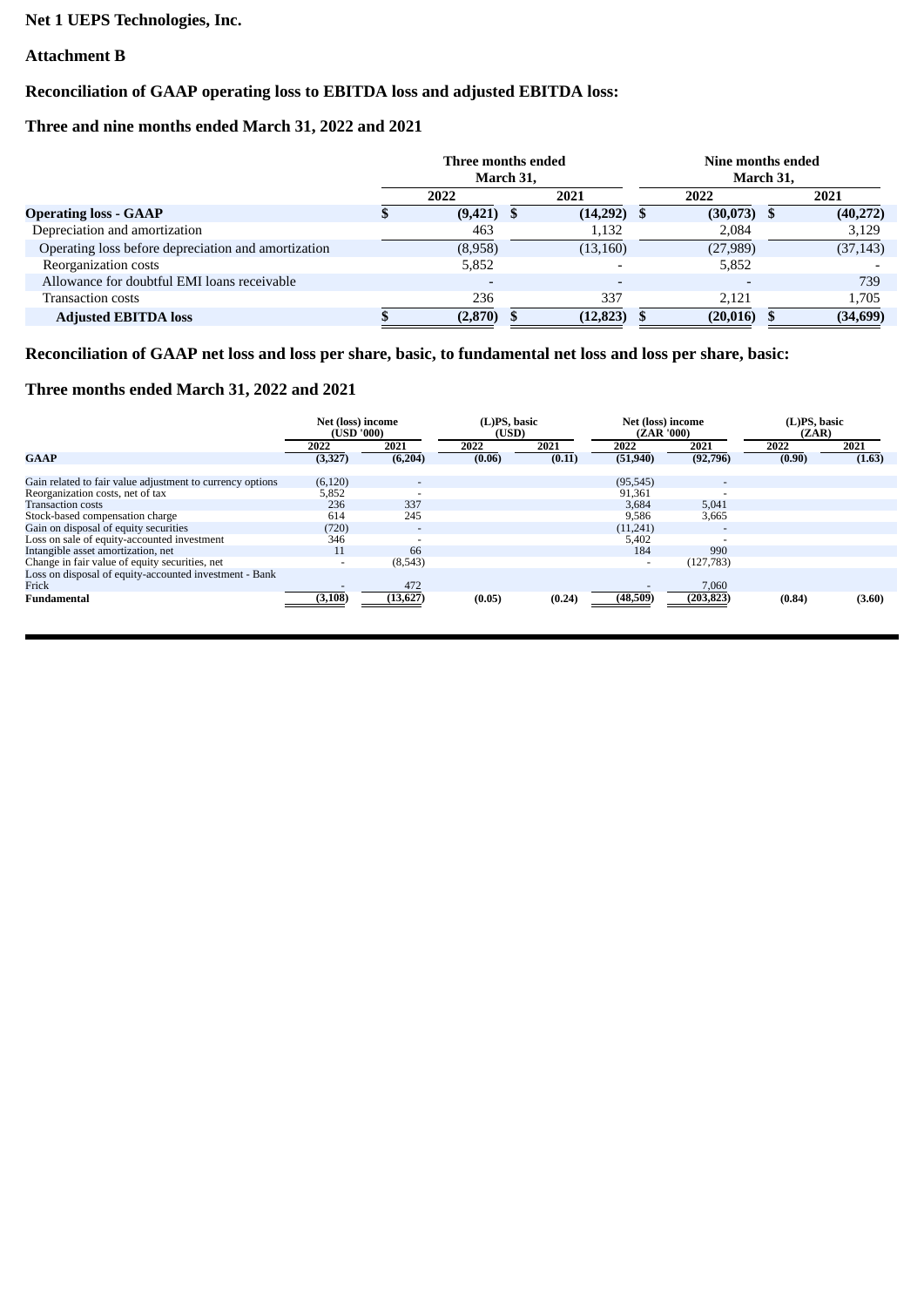# **Net 1 UEPS Technologies, Inc.**

# **Attachment B**

# **Reconciliation of GAAP operating loss to EBITDA loss and adjusted EBITDA loss:**

# **Three and nine months ended March 31, 2022 and 2021**

|                                                     | Three months ended<br>March 31, |                          |  | Nine months ended<br>March 31, |   |           |     |           |
|-----------------------------------------------------|---------------------------------|--------------------------|--|--------------------------------|---|-----------|-----|-----------|
|                                                     |                                 | 2022                     |  | 2021                           |   | 2022      |     | 2021      |
| <b>Operating loss - GAAP</b>                        |                                 | (9,421)                  |  | (14,292)                       | ъ | (30,073)  | - 5 | (40, 272) |
| Depreciation and amortization                       |                                 | 463                      |  | 1,132                          |   | 2,084     |     | 3,129     |
| Operating loss before depreciation and amortization |                                 | (8,958)                  |  | (13, 160)                      |   | (27,989)  |     | (37, 143) |
| Reorganization costs                                |                                 | 5,852                    |  |                                |   | 5,852     |     |           |
| Allowance for doubtful EMI loans receivable         |                                 | $\overline{\phantom{0}}$ |  |                                |   |           |     | 739       |
| Transaction costs                                   |                                 | 236                      |  | 337                            |   | 2.121     |     | 1,705     |
| <b>Adjusted EBITDA loss</b>                         |                                 | (2.870)                  |  | (12, 823)                      |   | (20, 016) |     | (34, 699) |

**Reconciliation of GAAP net loss and loss per share, basic, to fundamental net loss and loss per share, basic:**

# **Three months ended March 31, 2022 and 2021**

|                                                           | Net (loss) income<br>(USD'000) |                | (L)PS, basic<br>(USD) |        | Net (loss) income<br>(ZAR'000) |                          | (L)PS, basic<br>(ZAR) |        |
|-----------------------------------------------------------|--------------------------------|----------------|-----------------------|--------|--------------------------------|--------------------------|-----------------------|--------|
|                                                           | 2022                           | 2021           | 2022                  | 2021   | 2022                           | 2021                     | 2022                  | 2021   |
| <b>GAAP</b>                                               | (3, 327)                       | (6,204)        | (0.06)                | (0.11) | (51,940)                       | (92, 796)                | (0.90)                | (1.63) |
| Gain related to fair value adjustment to currency options | (6, 120)                       | $\overline{a}$ |                       |        | (95, 545)                      | $\overline{\phantom{0}}$ |                       |        |
| Reorganization costs, net of tax                          | 5,852                          |                |                       |        | 91,361                         |                          |                       |        |
| <b>Transaction costs</b>                                  | 236                            | 337            |                       |        | 3,684                          | 5,041                    |                       |        |
| Stock-based compensation charge                           | 614                            | 245            |                       |        | 9,586                          | 3,665                    |                       |        |
| Gain on disposal of equity securities                     | (720)                          | -              |                       |        | (11,241)                       | $\overline{\phantom{0}}$ |                       |        |
| Loss on sale of equity-accounted investment               | 346                            |                |                       |        | 5,402                          |                          |                       |        |
| Intangible asset amortization, net                        | 11                             | 66             |                       |        | 184                            | 990                      |                       |        |
| Change in fair value of equity securities, net            | $\overline{\phantom{a}}$       | (8,543)        |                       |        | ٠                              | (127, 783)               |                       |        |
| Loss on disposal of equity-accounted investment - Bank    |                                |                |                       |        |                                |                          |                       |        |
| Frick                                                     |                                | 472            |                       |        |                                | 7,060                    |                       |        |
| Fundamental                                               | (3, 108)                       | (13, 627)      | (0.05)                | (0.24) | (48,509)                       | (203, 823)               | (0.84)                | (3.60) |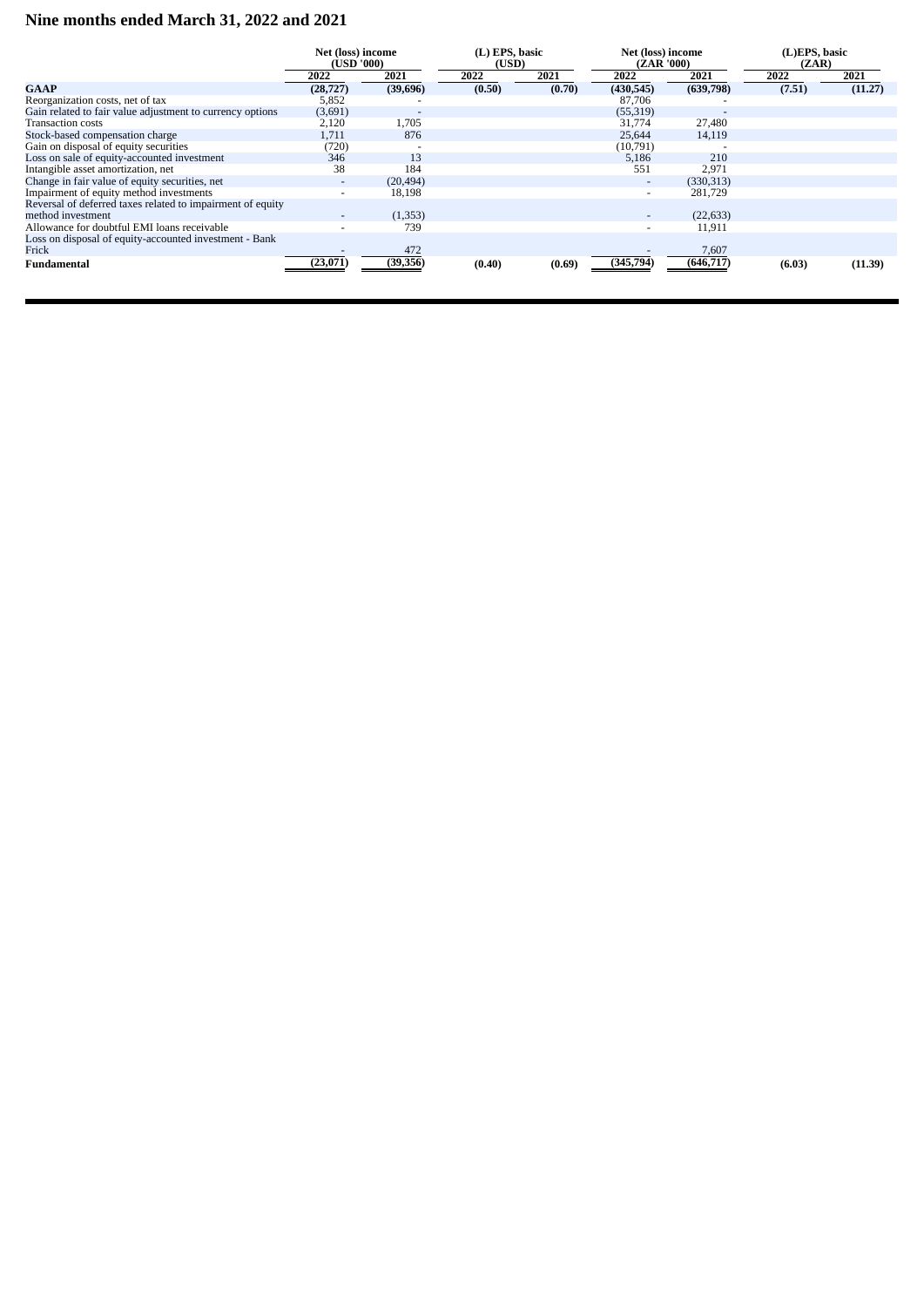# **Nine months ended March 31, 2022 and 2021**

|                                                            | Net (loss) income<br>(USD '000) |                          | (L) EPS, basic<br>(USD) |        | Net (loss) income<br>(ZAR '000) |            | (L)EPS, basic<br>(ZAR) |         |
|------------------------------------------------------------|---------------------------------|--------------------------|-------------------------|--------|---------------------------------|------------|------------------------|---------|
|                                                            | 2022                            | 2021                     | 2022                    | 2021   | 2022                            | 2021       | 2022                   | 2021    |
| <b>GAAP</b>                                                | (28, 727)                       | (39,696)                 | (0.50)                  | (0.70) | (430, 545)                      | (639,798)  | (7.51)                 | (11.27) |
| Reorganization costs, net of tax                           | 5,852                           |                          |                         |        | 87,706                          |            |                        |         |
| Gain related to fair value adjustment to currency options  | (3,691)                         | $\overline{\phantom{0}}$ |                         |        | (55, 319)                       |            |                        |         |
| Transaction costs                                          | 2,120                           | 1,705                    |                         |        | 31,774                          | 27,480     |                        |         |
| Stock-based compensation charge                            | 1,711                           | 876                      |                         |        | 25,644                          | 14,119     |                        |         |
| Gain on disposal of equity securities                      | (720)                           |                          |                         |        | (10,791)                        |            |                        |         |
| Loss on sale of equity-accounted investment                | 346                             | 13                       |                         |        | 5,186                           | 210        |                        |         |
| Intangible asset amortization, net                         | 38                              | 184                      |                         |        | 551                             | 2,971      |                        |         |
| Change in fair value of equity securities, net             | $\overline{\phantom{a}}$        | (20, 494)                |                         |        | $\overline{\phantom{a}}$        | (330, 313) |                        |         |
| Impairment of equity method investments                    | $\overline{\phantom{a}}$        | 18,198                   |                         |        | $\overline{\phantom{0}}$        | 281,729    |                        |         |
| Reversal of deferred taxes related to impairment of equity |                                 |                          |                         |        |                                 |            |                        |         |
| method investment                                          | $\overline{\phantom{0}}$        | (1, 353)                 |                         |        | $\overline{\phantom{0}}$        | (22, 633)  |                        |         |
| Allowance for doubtful EMI loans receivable                |                                 | 739                      |                         |        | $\overline{\phantom{0}}$        | 11,911     |                        |         |
| Loss on disposal of equity-accounted investment - Bank     |                                 |                          |                         |        |                                 |            |                        |         |
| Frick                                                      |                                 | 472                      |                         |        |                                 | 7,607      |                        |         |
| Fundamental                                                | (23, 071)                       | (39, 356)                | (0.40)                  | (0.69) | (345,794)                       | (646, 717) | (6.03)                 | (11.39) |